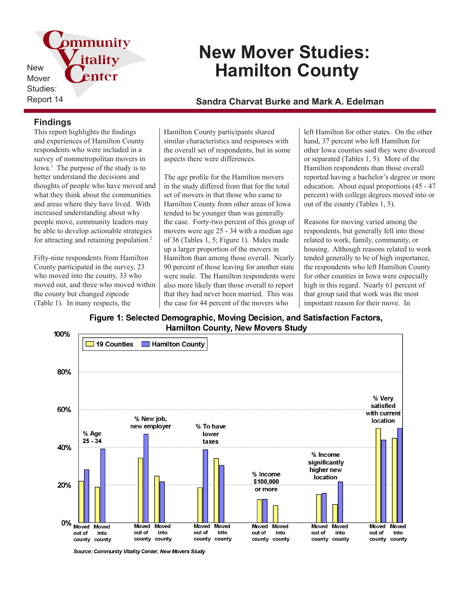pmmunity New Mover Studies:

# **New Mover Studies: Hamilton County**

Report 14 **Sandra Charvat Burke and Mark A. Edelman**

### **Findings**

This report highlights the findings and experiences of Hamilton County respondents who were included in a survey of nonmetropolitan movers in Iowa.<sup>1</sup> The purpose of the study is to better understand the decisions and thoughts of people who have moved and what they think about the communities and areas where they have lived. With increased understanding about why people move, community leaders may be able to develop actionable strategies for attracting and retaining population.<sup>2</sup>

itality

enter

Fifty-nine respondents from Hamilton County participated in the survey, 23 who moved into the county, 33 who moved out, and three who moved within the county but changed zipcode (Table 1). In many respects, the

Hamilton County participants shared similar characteristics and responses with the overall set of respondents, but in some aspects there were differences.

The age profile for the Hamilton movers in the study differed from that for the total set of movers in that those who came to Hamilton County from other areas of Iowa tended to be younger than was generally the case. Forty-two percent of this group of movers were age 25 - 34 with a median age of 36 (Tables 1, 5; Figure 1). Males made up a larger proportion of the movers in Hamilton than among those overall. Nearly 90 percent of those leaving for another state were male. The Hamilton respondents were also more likely than those overall to report that they had never been married. This was the case for 44 percent of the movers who

left Hamilton for other states. On the other hand, 37 percent who left Hamilton for other Iowa counties said they were divorced or separated (Tables 1, 5). More of the Hamilton respondents than those overall reported having a bachelor's degree or more education. About equal proportions (45 - 47 percent) with college degrees moved into or out of the county (Tables 1, 5).

Reasons for moving varied among the respondents, but generally fell into those related to work, family, community, or housing. Although reasons related to work tended generally to be of high importance, the respondents who left Hamilton County for other counties in Iowa were especially high in this regard. Nearly 61 percent of that group said that work was the most important reason for their move. In

Figure 1: Selected Demographic, Moving Decision, and Satisfaction Factors, **Hamilton County, New Movers Study** 



Source: Community Vitality Center, New Movers Study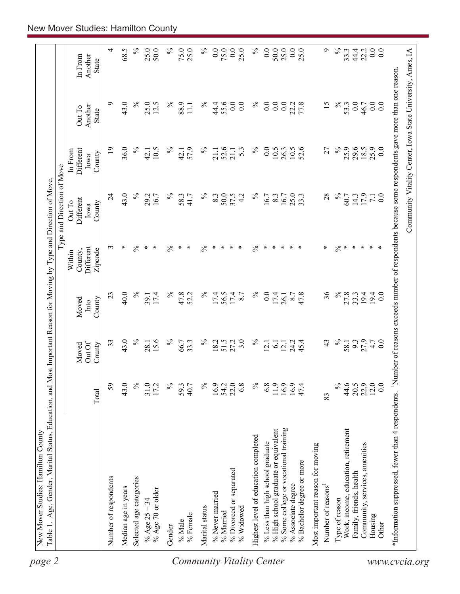| 4<br>$\%$<br>25.0<br>$\%$<br>$\%$<br>0.0<br>0.0<br>$\%$<br>50.0<br>0.0<br>Ó<br>$\%$<br>0.0<br>$\overline{0}$ .<br>68.5<br>50.0<br>75.0<br>25.0<br>75.0<br>25.0<br>0.0<br>25.0<br>25.0<br>44.4<br>22.2<br>33.3<br>Another<br>In From<br><b>State</b><br>٩<br>43.0<br>$\%$<br>$\%$<br>55.6<br>0.0<br>0.0<br>$\%$<br>15<br>$\%$<br>0.0<br>0.0<br>25.0<br>12.5<br>$\%$<br>88.9<br>44.4<br>0.0<br>$\overline{0.0}$<br>$0.0\,$<br>22.2<br>53.3<br>46.7<br>$\overline{0.0}$<br>$\Xi$<br>Another<br>Out To<br>State<br>$\%$<br>25.9<br>36.0<br>℅<br>$\%$<br>52.6<br>$\%$<br>$10.5$<br>52.6<br>27<br>25.9<br>29.6<br>0.0<br>$\overline{19}$<br>$\%$<br>57.9<br>$\overline{0}$ .<br>10.5<br>18.5<br>10.5<br>5.3<br>26.3<br>Different<br>21.1<br>42.1<br>21.1<br>42.1<br>In From<br>County<br>Iowa<br>43.0<br>$\overline{24}$<br>$\%$<br>$\%$<br>$\%$<br>$\%$<br>17.9<br>29.2<br>$\%$<br>50.0<br>37.5<br>4.2<br>25.0<br>28<br>$\overline{0}$ .<br>16.7<br>58.3<br>41.7<br>8.3<br>16.7<br>8.3<br>33.3<br>60.7<br>14.3<br>16.7<br>$\overline{z}$<br>Different<br>Out To<br>County<br>Iowa<br>$\frac{5}{6}$<br>$\frac{5}{6}$<br>$\%$<br>$\frac{5}{6}$<br>∗<br>$\frac{5}{6}$<br>$\ast$<br>$\ast$<br>∗<br>∗<br>$\ast$<br>∗<br>$\ast$<br>∗<br>$\ast$<br>$\ast$<br>$\ast$<br>$\ast$<br>∗<br>∗<br>$\ast$<br>$\ast$<br>$\ast$<br>$\ast$<br>3<br>∗<br>Different<br>County,<br>Zipcode<br>Within<br>36<br>40.0<br>$\frac{5}{6}$<br>$\%$<br>17.4<br>$\%$<br>$\%$<br>23<br>17.4<br>℅<br>47.8<br>17.4<br>56.5<br>0.0<br>17.4<br>27.8<br>33.3<br>19.4<br>52.2<br>8.7<br>8.7<br>47.8<br>19.4<br>$\overline{0.0}$<br>39.1<br>26.1<br>County<br>Moved<br>Into<br>$\%$<br>43.0<br>$\%$<br>3.0<br>$\%$<br>15.6<br>$\%$<br>27.2<br>℅<br>27.9<br>33<br>33.3<br>18.2<br>51.5<br>24.2<br>45.4<br>43<br>9.3<br>4.7<br>0.0<br>28.1<br>66.7<br>$\overline{61}$<br>12.1<br>58.1<br>$\overline{2.1}$<br>Out Of<br>County<br>Moved<br>22.9<br>12.0<br>44.6<br>0.0<br>59<br>43.0<br>$\%$<br>$\%$<br>54.2<br>22.0<br>6.8<br>$\%$<br>6.8<br>$\%$<br>20.5<br>31.0<br>17.2<br>$\%$<br>16.9<br>11.9<br>16.9<br>16.9<br>59.3<br>40.7<br>47.4<br>Total<br>83<br>% Some college or vocational training<br>Work, income, education, retirement<br>% High school graduate or equivalent<br>Highest level of education completed<br>% Less than high school graduate<br>Community, services, amenities<br>Most important reason for moving<br>% Bachelor degree or more<br>% Divorced or separated<br>Family, friends, health<br>Number of respondents<br>Selected age categories<br>% Associate degree<br>Number of reasons <sup>1</sup><br>Median age in years<br>% Age 70 or older<br>% Never married<br>% Age $25 - 34$<br>Type of reason<br>Marital status<br>% Widowed<br>% Married<br>$\%$ Female<br>Housing<br>% Male<br>Other<br>Gender | *Information suppressed, fewer than 4 respondents. <sup>1</sup> Number of reasons exceeds number of respondents because some respondents gave more than one reason. | Type and Direction of Move |  |
|---------------------------------------------------------------------------------------------------------------------------------------------------------------------------------------------------------------------------------------------------------------------------------------------------------------------------------------------------------------------------------------------------------------------------------------------------------------------------------------------------------------------------------------------------------------------------------------------------------------------------------------------------------------------------------------------------------------------------------------------------------------------------------------------------------------------------------------------------------------------------------------------------------------------------------------------------------------------------------------------------------------------------------------------------------------------------------------------------------------------------------------------------------------------------------------------------------------------------------------------------------------------------------------------------------------------------------------------------------------------------------------------------------------------------------------------------------------------------------------------------------------------------------------------------------------------------------------------------------------------------------------------------------------------------------------------------------------------------------------------------------------------------------------------------------------------------------------------------------------------------------------------------------------------------------------------------------------------------------------------------------------------------------------------------------------------------------------------------------------------------------------------------------------------------------------------------------------------------------------------------------------------------------------------------------------------------------------------------------------------------------------------------------------------------------------------------------------------------------------------------------------------------------------------------------------------------------------------------------------------------------------------------------------------------------------------------------------------------------------------------------------------------------------------|---------------------------------------------------------------------------------------------------------------------------------------------------------------------|----------------------------|--|
|                                                                                                                                                                                                                                                                                                                                                                                                                                                                                                                                                                                                                                                                                                                                                                                                                                                                                                                                                                                                                                                                                                                                                                                                                                                                                                                                                                                                                                                                                                                                                                                                                                                                                                                                                                                                                                                                                                                                                                                                                                                                                                                                                                                                                                                                                                                                                                                                                                                                                                                                                                                                                                                                                                                                                                                             |                                                                                                                                                                     |                            |  |
|                                                                                                                                                                                                                                                                                                                                                                                                                                                                                                                                                                                                                                                                                                                                                                                                                                                                                                                                                                                                                                                                                                                                                                                                                                                                                                                                                                                                                                                                                                                                                                                                                                                                                                                                                                                                                                                                                                                                                                                                                                                                                                                                                                                                                                                                                                                                                                                                                                                                                                                                                                                                                                                                                                                                                                                             |                                                                                                                                                                     |                            |  |
|                                                                                                                                                                                                                                                                                                                                                                                                                                                                                                                                                                                                                                                                                                                                                                                                                                                                                                                                                                                                                                                                                                                                                                                                                                                                                                                                                                                                                                                                                                                                                                                                                                                                                                                                                                                                                                                                                                                                                                                                                                                                                                                                                                                                                                                                                                                                                                                                                                                                                                                                                                                                                                                                                                                                                                                             |                                                                                                                                                                     |                            |  |
|                                                                                                                                                                                                                                                                                                                                                                                                                                                                                                                                                                                                                                                                                                                                                                                                                                                                                                                                                                                                                                                                                                                                                                                                                                                                                                                                                                                                                                                                                                                                                                                                                                                                                                                                                                                                                                                                                                                                                                                                                                                                                                                                                                                                                                                                                                                                                                                                                                                                                                                                                                                                                                                                                                                                                                                             |                                                                                                                                                                     |                            |  |
|                                                                                                                                                                                                                                                                                                                                                                                                                                                                                                                                                                                                                                                                                                                                                                                                                                                                                                                                                                                                                                                                                                                                                                                                                                                                                                                                                                                                                                                                                                                                                                                                                                                                                                                                                                                                                                                                                                                                                                                                                                                                                                                                                                                                                                                                                                                                                                                                                                                                                                                                                                                                                                                                                                                                                                                             |                                                                                                                                                                     |                            |  |
|                                                                                                                                                                                                                                                                                                                                                                                                                                                                                                                                                                                                                                                                                                                                                                                                                                                                                                                                                                                                                                                                                                                                                                                                                                                                                                                                                                                                                                                                                                                                                                                                                                                                                                                                                                                                                                                                                                                                                                                                                                                                                                                                                                                                                                                                                                                                                                                                                                                                                                                                                                                                                                                                                                                                                                                             |                                                                                                                                                                     |                            |  |
|                                                                                                                                                                                                                                                                                                                                                                                                                                                                                                                                                                                                                                                                                                                                                                                                                                                                                                                                                                                                                                                                                                                                                                                                                                                                                                                                                                                                                                                                                                                                                                                                                                                                                                                                                                                                                                                                                                                                                                                                                                                                                                                                                                                                                                                                                                                                                                                                                                                                                                                                                                                                                                                                                                                                                                                             |                                                                                                                                                                     |                            |  |
|                                                                                                                                                                                                                                                                                                                                                                                                                                                                                                                                                                                                                                                                                                                                                                                                                                                                                                                                                                                                                                                                                                                                                                                                                                                                                                                                                                                                                                                                                                                                                                                                                                                                                                                                                                                                                                                                                                                                                                                                                                                                                                                                                                                                                                                                                                                                                                                                                                                                                                                                                                                                                                                                                                                                                                                             |                                                                                                                                                                     |                            |  |
|                                                                                                                                                                                                                                                                                                                                                                                                                                                                                                                                                                                                                                                                                                                                                                                                                                                                                                                                                                                                                                                                                                                                                                                                                                                                                                                                                                                                                                                                                                                                                                                                                                                                                                                                                                                                                                                                                                                                                                                                                                                                                                                                                                                                                                                                                                                                                                                                                                                                                                                                                                                                                                                                                                                                                                                             |                                                                                                                                                                     |                            |  |
|                                                                                                                                                                                                                                                                                                                                                                                                                                                                                                                                                                                                                                                                                                                                                                                                                                                                                                                                                                                                                                                                                                                                                                                                                                                                                                                                                                                                                                                                                                                                                                                                                                                                                                                                                                                                                                                                                                                                                                                                                                                                                                                                                                                                                                                                                                                                                                                                                                                                                                                                                                                                                                                                                                                                                                                             |                                                                                                                                                                     |                            |  |
|                                                                                                                                                                                                                                                                                                                                                                                                                                                                                                                                                                                                                                                                                                                                                                                                                                                                                                                                                                                                                                                                                                                                                                                                                                                                                                                                                                                                                                                                                                                                                                                                                                                                                                                                                                                                                                                                                                                                                                                                                                                                                                                                                                                                                                                                                                                                                                                                                                                                                                                                                                                                                                                                                                                                                                                             |                                                                                                                                                                     |                            |  |
|                                                                                                                                                                                                                                                                                                                                                                                                                                                                                                                                                                                                                                                                                                                                                                                                                                                                                                                                                                                                                                                                                                                                                                                                                                                                                                                                                                                                                                                                                                                                                                                                                                                                                                                                                                                                                                                                                                                                                                                                                                                                                                                                                                                                                                                                                                                                                                                                                                                                                                                                                                                                                                                                                                                                                                                             |                                                                                                                                                                     |                            |  |
|                                                                                                                                                                                                                                                                                                                                                                                                                                                                                                                                                                                                                                                                                                                                                                                                                                                                                                                                                                                                                                                                                                                                                                                                                                                                                                                                                                                                                                                                                                                                                                                                                                                                                                                                                                                                                                                                                                                                                                                                                                                                                                                                                                                                                                                                                                                                                                                                                                                                                                                                                                                                                                                                                                                                                                                             |                                                                                                                                                                     |                            |  |
|                                                                                                                                                                                                                                                                                                                                                                                                                                                                                                                                                                                                                                                                                                                                                                                                                                                                                                                                                                                                                                                                                                                                                                                                                                                                                                                                                                                                                                                                                                                                                                                                                                                                                                                                                                                                                                                                                                                                                                                                                                                                                                                                                                                                                                                                                                                                                                                                                                                                                                                                                                                                                                                                                                                                                                                             |                                                                                                                                                                     |                            |  |
|                                                                                                                                                                                                                                                                                                                                                                                                                                                                                                                                                                                                                                                                                                                                                                                                                                                                                                                                                                                                                                                                                                                                                                                                                                                                                                                                                                                                                                                                                                                                                                                                                                                                                                                                                                                                                                                                                                                                                                                                                                                                                                                                                                                                                                                                                                                                                                                                                                                                                                                                                                                                                                                                                                                                                                                             |                                                                                                                                                                     |                            |  |
|                                                                                                                                                                                                                                                                                                                                                                                                                                                                                                                                                                                                                                                                                                                                                                                                                                                                                                                                                                                                                                                                                                                                                                                                                                                                                                                                                                                                                                                                                                                                                                                                                                                                                                                                                                                                                                                                                                                                                                                                                                                                                                                                                                                                                                                                                                                                                                                                                                                                                                                                                                                                                                                                                                                                                                                             |                                                                                                                                                                     |                            |  |
|                                                                                                                                                                                                                                                                                                                                                                                                                                                                                                                                                                                                                                                                                                                                                                                                                                                                                                                                                                                                                                                                                                                                                                                                                                                                                                                                                                                                                                                                                                                                                                                                                                                                                                                                                                                                                                                                                                                                                                                                                                                                                                                                                                                                                                                                                                                                                                                                                                                                                                                                                                                                                                                                                                                                                                                             |                                                                                                                                                                     |                            |  |
|                                                                                                                                                                                                                                                                                                                                                                                                                                                                                                                                                                                                                                                                                                                                                                                                                                                                                                                                                                                                                                                                                                                                                                                                                                                                                                                                                                                                                                                                                                                                                                                                                                                                                                                                                                                                                                                                                                                                                                                                                                                                                                                                                                                                                                                                                                                                                                                                                                                                                                                                                                                                                                                                                                                                                                                             |                                                                                                                                                                     |                            |  |
|                                                                                                                                                                                                                                                                                                                                                                                                                                                                                                                                                                                                                                                                                                                                                                                                                                                                                                                                                                                                                                                                                                                                                                                                                                                                                                                                                                                                                                                                                                                                                                                                                                                                                                                                                                                                                                                                                                                                                                                                                                                                                                                                                                                                                                                                                                                                                                                                                                                                                                                                                                                                                                                                                                                                                                                             |                                                                                                                                                                     |                            |  |
|                                                                                                                                                                                                                                                                                                                                                                                                                                                                                                                                                                                                                                                                                                                                                                                                                                                                                                                                                                                                                                                                                                                                                                                                                                                                                                                                                                                                                                                                                                                                                                                                                                                                                                                                                                                                                                                                                                                                                                                                                                                                                                                                                                                                                                                                                                                                                                                                                                                                                                                                                                                                                                                                                                                                                                                             |                                                                                                                                                                     |                            |  |
|                                                                                                                                                                                                                                                                                                                                                                                                                                                                                                                                                                                                                                                                                                                                                                                                                                                                                                                                                                                                                                                                                                                                                                                                                                                                                                                                                                                                                                                                                                                                                                                                                                                                                                                                                                                                                                                                                                                                                                                                                                                                                                                                                                                                                                                                                                                                                                                                                                                                                                                                                                                                                                                                                                                                                                                             |                                                                                                                                                                     |                            |  |
|                                                                                                                                                                                                                                                                                                                                                                                                                                                                                                                                                                                                                                                                                                                                                                                                                                                                                                                                                                                                                                                                                                                                                                                                                                                                                                                                                                                                                                                                                                                                                                                                                                                                                                                                                                                                                                                                                                                                                                                                                                                                                                                                                                                                                                                                                                                                                                                                                                                                                                                                                                                                                                                                                                                                                                                             |                                                                                                                                                                     |                            |  |
|                                                                                                                                                                                                                                                                                                                                                                                                                                                                                                                                                                                                                                                                                                                                                                                                                                                                                                                                                                                                                                                                                                                                                                                                                                                                                                                                                                                                                                                                                                                                                                                                                                                                                                                                                                                                                                                                                                                                                                                                                                                                                                                                                                                                                                                                                                                                                                                                                                                                                                                                                                                                                                                                                                                                                                                             |                                                                                                                                                                     |                            |  |
|                                                                                                                                                                                                                                                                                                                                                                                                                                                                                                                                                                                                                                                                                                                                                                                                                                                                                                                                                                                                                                                                                                                                                                                                                                                                                                                                                                                                                                                                                                                                                                                                                                                                                                                                                                                                                                                                                                                                                                                                                                                                                                                                                                                                                                                                                                                                                                                                                                                                                                                                                                                                                                                                                                                                                                                             |                                                                                                                                                                     |                            |  |
|                                                                                                                                                                                                                                                                                                                                                                                                                                                                                                                                                                                                                                                                                                                                                                                                                                                                                                                                                                                                                                                                                                                                                                                                                                                                                                                                                                                                                                                                                                                                                                                                                                                                                                                                                                                                                                                                                                                                                                                                                                                                                                                                                                                                                                                                                                                                                                                                                                                                                                                                                                                                                                                                                                                                                                                             |                                                                                                                                                                     |                            |  |
|                                                                                                                                                                                                                                                                                                                                                                                                                                                                                                                                                                                                                                                                                                                                                                                                                                                                                                                                                                                                                                                                                                                                                                                                                                                                                                                                                                                                                                                                                                                                                                                                                                                                                                                                                                                                                                                                                                                                                                                                                                                                                                                                                                                                                                                                                                                                                                                                                                                                                                                                                                                                                                                                                                                                                                                             |                                                                                                                                                                     |                            |  |
|                                                                                                                                                                                                                                                                                                                                                                                                                                                                                                                                                                                                                                                                                                                                                                                                                                                                                                                                                                                                                                                                                                                                                                                                                                                                                                                                                                                                                                                                                                                                                                                                                                                                                                                                                                                                                                                                                                                                                                                                                                                                                                                                                                                                                                                                                                                                                                                                                                                                                                                                                                                                                                                                                                                                                                                             |                                                                                                                                                                     |                            |  |
|                                                                                                                                                                                                                                                                                                                                                                                                                                                                                                                                                                                                                                                                                                                                                                                                                                                                                                                                                                                                                                                                                                                                                                                                                                                                                                                                                                                                                                                                                                                                                                                                                                                                                                                                                                                                                                                                                                                                                                                                                                                                                                                                                                                                                                                                                                                                                                                                                                                                                                                                                                                                                                                                                                                                                                                             |                                                                                                                                                                     |                            |  |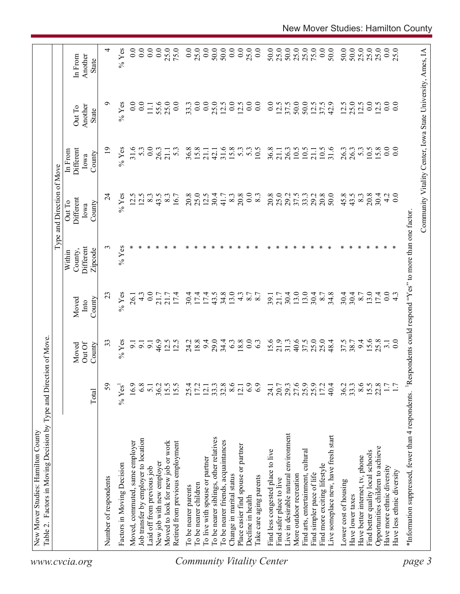| 0.0<br>0.0<br>0.0<br>50.0<br>50.0<br>0.0<br>0.0<br>25.0<br>50.0<br>25.0<br>50.0<br>25.0<br>25.0<br>75.0<br>0.0<br>50.0<br>50.0<br>50.0<br>25.0<br>25.0<br>25.0<br>0.0<br>4<br>0.0<br>0.0<br>25.0<br>75.0<br>0.0<br>25.0<br>0.0<br>25.0<br>$%$ Yes<br>Another<br>In From<br>State<br>$\%$ Yes<br>0.0<br>55.6<br>25.0<br>0.0<br>0.0<br>0.0<br>25.0<br>0.0<br>0.0<br>0.0<br>50.0<br>50.0<br>42.9<br>25.0<br>12.5<br>0.0<br>0.0<br>$\overline{0}$ .<br>$\overline{0}$ .<br>12.5<br>12.5<br>$\overline{0.0}$<br>12.5<br>37.5<br>12.5<br>12.5<br>12.5<br>33.3<br>37.5<br>$\Xi$<br>Another<br>Out To<br><b>State</b><br>$\overline{0}$<br>$%$ Yes<br>0.0<br>31.6<br>31.6<br>0.0<br>$\overline{0}$ .<br>Different<br>31.6<br>15.8<br>15.8<br>5.3<br>36.8<br>10.5<br>10.5<br>26.3<br>5.3<br>10.5<br>15.8<br>5.3<br>5.3<br>36.8<br>$5.\overline{3}$<br>10.5<br>26.3<br>10.5<br>26.3<br>26.3<br>21.1<br>21.1<br>42.1<br>21.1<br>21.1<br>In From<br>County<br>Iowa<br>50.0<br>20.8<br>0.0<br>$%$ Yes<br>25.0<br>20.8<br>25.0<br>29.2<br>20.8<br>45.8<br>43.5<br>$8.\overline{3}$<br>$\overline{24}$<br>12.5<br>12.5<br>8.3<br>43.5<br>20.8<br>12.5<br>30.4<br>20.8<br>$\overline{0}$ .<br>29.2<br>37.5<br>33.3<br>30.4<br>$\frac{4}{3}$<br>16.7<br>$8.\overline{3}$<br>$8.\overline{3}$<br>41.7<br>$\frac{8}{3}$<br>Different<br>Out To<br>County<br>Iowa<br>$%$ Yes<br>3<br>Different<br>County,<br>Zipcode<br>Within<br>0.0<br>17.4<br>43.5<br>34.8<br>13.0<br>30.4<br>13.0<br>13.0<br>13.0<br>23<br>$%$ Yes<br>17.4<br>30.4<br>17.4<br>$4.\overline{3}$<br>30.4<br>34.8<br>30.4<br>30.4<br>17.4<br>$\overline{0.0}$<br>$\frac{4}{3}$<br>7.8<br>21.7<br>8.7<br>21.7<br>8.7<br>21.7<br>39.1<br>$\frac{4}{3}$<br>26.1<br>Moved<br>County<br>Into<br>25.0<br>25.0<br>18.8<br>29.0<br>34.4<br>18.8<br>0.0<br>21.9<br>40.6<br>37.5<br>15.6<br>25.8<br>$%$ Yes<br>46.9<br>12.5<br>24.2<br>9.4<br>6.3<br>63<br>15.6<br>31.3<br>48.4<br>37.5<br>38.7<br>9.4<br>33<br>$\overline{3.1}$<br>$\overline{9}$ .<br>$\overline{5}$<br>Out Of<br>$\overline{5}$<br>County<br>Moved<br>8.6<br>27.6<br>25.9<br>8.6<br>15.5<br>22.8<br>59<br>36.2<br>15.5<br>15.5<br>25.4<br>17.2<br>33.3<br>32.8<br>6.9<br>29.3<br>40.4<br>33.3<br>16.9<br>6.8<br>12.1<br>12.1<br>6.9<br>20.7<br>36.2<br>$%$ Yes <sup>1</sup><br>5.1<br>24.1<br>Total<br>Live in desirable natural environment<br>Live someplace new, have fresh start<br>To be nearer siblings, other relatives<br>Job transfer by employer to location<br>To be nearer friends, acquaintances<br>Moved, commuted, same employer<br>Moved to look for new job or work<br>Retired from previous employment<br>Place easier find spouse or partner<br>Opportunities children to achieve<br>Find less congested place to live<br>Find arts, entertainment, cultural<br>Find better quality local schools<br>Have better internet, tv, phone<br>To live with spouse or partner<br>New job with new employer<br>Factors in Moving Decision<br>Find more exciting lifestyle<br>Have more ethnic diversity<br>aid off from previous job<br>Have less ethnic diversity<br>More outdoor recreation<br>Find simpler pace of life<br>Change in marital status<br>l'ake care aging parents<br>Number of respondents<br>Find safer place to live<br>Lower cost of housing<br>To be nearer children<br>To be nearer parents<br>Have lower taxes<br>Decline in health | Table 2. Factors in Moving Decision by Type and Direction of Move |  |  | Type and Direction of Move |  |  |
|-----------------------------------------------------------------------------------------------------------------------------------------------------------------------------------------------------------------------------------------------------------------------------------------------------------------------------------------------------------------------------------------------------------------------------------------------------------------------------------------------------------------------------------------------------------------------------------------------------------------------------------------------------------------------------------------------------------------------------------------------------------------------------------------------------------------------------------------------------------------------------------------------------------------------------------------------------------------------------------------------------------------------------------------------------------------------------------------------------------------------------------------------------------------------------------------------------------------------------------------------------------------------------------------------------------------------------------------------------------------------------------------------------------------------------------------------------------------------------------------------------------------------------------------------------------------------------------------------------------------------------------------------------------------------------------------------------------------------------------------------------------------------------------------------------------------------------------------------------------------------------------------------------------------------------------------------------------------------------------------------------------------------------------------------------------------------------------------------------------------------------------------------------------------------------------------------------------------------------------------------------------------------------------------------------------------------------------------------------------------------------------------------------------------------------------------------------------------------------------------------------------------------------------------------------------------------------------------------------------------------------------------------------------------------------------------------------------------------------------------------------------------------------------------------------------------------------------------------------------------------------------------------------------------------------------------------------------------------------------------------------------------------------------------------------------------------------------------------------------------------------------------------------------------------------------------------------------------------------------------------------------------------------------------------------------------------------------------------------------------------------|-------------------------------------------------------------------|--|--|----------------------------|--|--|
|                                                                                                                                                                                                                                                                                                                                                                                                                                                                                                                                                                                                                                                                                                                                                                                                                                                                                                                                                                                                                                                                                                                                                                                                                                                                                                                                                                                                                                                                                                                                                                                                                                                                                                                                                                                                                                                                                                                                                                                                                                                                                                                                                                                                                                                                                                                                                                                                                                                                                                                                                                                                                                                                                                                                                                                                                                                                                                                                                                                                                                                                                                                                                                                                                                                                                                                                                                             |                                                                   |  |  |                            |  |  |
|                                                                                                                                                                                                                                                                                                                                                                                                                                                                                                                                                                                                                                                                                                                                                                                                                                                                                                                                                                                                                                                                                                                                                                                                                                                                                                                                                                                                                                                                                                                                                                                                                                                                                                                                                                                                                                                                                                                                                                                                                                                                                                                                                                                                                                                                                                                                                                                                                                                                                                                                                                                                                                                                                                                                                                                                                                                                                                                                                                                                                                                                                                                                                                                                                                                                                                                                                                             |                                                                   |  |  |                            |  |  |
|                                                                                                                                                                                                                                                                                                                                                                                                                                                                                                                                                                                                                                                                                                                                                                                                                                                                                                                                                                                                                                                                                                                                                                                                                                                                                                                                                                                                                                                                                                                                                                                                                                                                                                                                                                                                                                                                                                                                                                                                                                                                                                                                                                                                                                                                                                                                                                                                                                                                                                                                                                                                                                                                                                                                                                                                                                                                                                                                                                                                                                                                                                                                                                                                                                                                                                                                                                             |                                                                   |  |  |                            |  |  |
|                                                                                                                                                                                                                                                                                                                                                                                                                                                                                                                                                                                                                                                                                                                                                                                                                                                                                                                                                                                                                                                                                                                                                                                                                                                                                                                                                                                                                                                                                                                                                                                                                                                                                                                                                                                                                                                                                                                                                                                                                                                                                                                                                                                                                                                                                                                                                                                                                                                                                                                                                                                                                                                                                                                                                                                                                                                                                                                                                                                                                                                                                                                                                                                                                                                                                                                                                                             |                                                                   |  |  |                            |  |  |
|                                                                                                                                                                                                                                                                                                                                                                                                                                                                                                                                                                                                                                                                                                                                                                                                                                                                                                                                                                                                                                                                                                                                                                                                                                                                                                                                                                                                                                                                                                                                                                                                                                                                                                                                                                                                                                                                                                                                                                                                                                                                                                                                                                                                                                                                                                                                                                                                                                                                                                                                                                                                                                                                                                                                                                                                                                                                                                                                                                                                                                                                                                                                                                                                                                                                                                                                                                             |                                                                   |  |  |                            |  |  |
|                                                                                                                                                                                                                                                                                                                                                                                                                                                                                                                                                                                                                                                                                                                                                                                                                                                                                                                                                                                                                                                                                                                                                                                                                                                                                                                                                                                                                                                                                                                                                                                                                                                                                                                                                                                                                                                                                                                                                                                                                                                                                                                                                                                                                                                                                                                                                                                                                                                                                                                                                                                                                                                                                                                                                                                                                                                                                                                                                                                                                                                                                                                                                                                                                                                                                                                                                                             |                                                                   |  |  |                            |  |  |
|                                                                                                                                                                                                                                                                                                                                                                                                                                                                                                                                                                                                                                                                                                                                                                                                                                                                                                                                                                                                                                                                                                                                                                                                                                                                                                                                                                                                                                                                                                                                                                                                                                                                                                                                                                                                                                                                                                                                                                                                                                                                                                                                                                                                                                                                                                                                                                                                                                                                                                                                                                                                                                                                                                                                                                                                                                                                                                                                                                                                                                                                                                                                                                                                                                                                                                                                                                             |                                                                   |  |  |                            |  |  |
|                                                                                                                                                                                                                                                                                                                                                                                                                                                                                                                                                                                                                                                                                                                                                                                                                                                                                                                                                                                                                                                                                                                                                                                                                                                                                                                                                                                                                                                                                                                                                                                                                                                                                                                                                                                                                                                                                                                                                                                                                                                                                                                                                                                                                                                                                                                                                                                                                                                                                                                                                                                                                                                                                                                                                                                                                                                                                                                                                                                                                                                                                                                                                                                                                                                                                                                                                                             |                                                                   |  |  |                            |  |  |
|                                                                                                                                                                                                                                                                                                                                                                                                                                                                                                                                                                                                                                                                                                                                                                                                                                                                                                                                                                                                                                                                                                                                                                                                                                                                                                                                                                                                                                                                                                                                                                                                                                                                                                                                                                                                                                                                                                                                                                                                                                                                                                                                                                                                                                                                                                                                                                                                                                                                                                                                                                                                                                                                                                                                                                                                                                                                                                                                                                                                                                                                                                                                                                                                                                                                                                                                                                             |                                                                   |  |  |                            |  |  |
|                                                                                                                                                                                                                                                                                                                                                                                                                                                                                                                                                                                                                                                                                                                                                                                                                                                                                                                                                                                                                                                                                                                                                                                                                                                                                                                                                                                                                                                                                                                                                                                                                                                                                                                                                                                                                                                                                                                                                                                                                                                                                                                                                                                                                                                                                                                                                                                                                                                                                                                                                                                                                                                                                                                                                                                                                                                                                                                                                                                                                                                                                                                                                                                                                                                                                                                                                                             |                                                                   |  |  |                            |  |  |
|                                                                                                                                                                                                                                                                                                                                                                                                                                                                                                                                                                                                                                                                                                                                                                                                                                                                                                                                                                                                                                                                                                                                                                                                                                                                                                                                                                                                                                                                                                                                                                                                                                                                                                                                                                                                                                                                                                                                                                                                                                                                                                                                                                                                                                                                                                                                                                                                                                                                                                                                                                                                                                                                                                                                                                                                                                                                                                                                                                                                                                                                                                                                                                                                                                                                                                                                                                             |                                                                   |  |  |                            |  |  |
|                                                                                                                                                                                                                                                                                                                                                                                                                                                                                                                                                                                                                                                                                                                                                                                                                                                                                                                                                                                                                                                                                                                                                                                                                                                                                                                                                                                                                                                                                                                                                                                                                                                                                                                                                                                                                                                                                                                                                                                                                                                                                                                                                                                                                                                                                                                                                                                                                                                                                                                                                                                                                                                                                                                                                                                                                                                                                                                                                                                                                                                                                                                                                                                                                                                                                                                                                                             |                                                                   |  |  |                            |  |  |
|                                                                                                                                                                                                                                                                                                                                                                                                                                                                                                                                                                                                                                                                                                                                                                                                                                                                                                                                                                                                                                                                                                                                                                                                                                                                                                                                                                                                                                                                                                                                                                                                                                                                                                                                                                                                                                                                                                                                                                                                                                                                                                                                                                                                                                                                                                                                                                                                                                                                                                                                                                                                                                                                                                                                                                                                                                                                                                                                                                                                                                                                                                                                                                                                                                                                                                                                                                             |                                                                   |  |  |                            |  |  |
|                                                                                                                                                                                                                                                                                                                                                                                                                                                                                                                                                                                                                                                                                                                                                                                                                                                                                                                                                                                                                                                                                                                                                                                                                                                                                                                                                                                                                                                                                                                                                                                                                                                                                                                                                                                                                                                                                                                                                                                                                                                                                                                                                                                                                                                                                                                                                                                                                                                                                                                                                                                                                                                                                                                                                                                                                                                                                                                                                                                                                                                                                                                                                                                                                                                                                                                                                                             |                                                                   |  |  |                            |  |  |
|                                                                                                                                                                                                                                                                                                                                                                                                                                                                                                                                                                                                                                                                                                                                                                                                                                                                                                                                                                                                                                                                                                                                                                                                                                                                                                                                                                                                                                                                                                                                                                                                                                                                                                                                                                                                                                                                                                                                                                                                                                                                                                                                                                                                                                                                                                                                                                                                                                                                                                                                                                                                                                                                                                                                                                                                                                                                                                                                                                                                                                                                                                                                                                                                                                                                                                                                                                             |                                                                   |  |  |                            |  |  |
|                                                                                                                                                                                                                                                                                                                                                                                                                                                                                                                                                                                                                                                                                                                                                                                                                                                                                                                                                                                                                                                                                                                                                                                                                                                                                                                                                                                                                                                                                                                                                                                                                                                                                                                                                                                                                                                                                                                                                                                                                                                                                                                                                                                                                                                                                                                                                                                                                                                                                                                                                                                                                                                                                                                                                                                                                                                                                                                                                                                                                                                                                                                                                                                                                                                                                                                                                                             |                                                                   |  |  |                            |  |  |
|                                                                                                                                                                                                                                                                                                                                                                                                                                                                                                                                                                                                                                                                                                                                                                                                                                                                                                                                                                                                                                                                                                                                                                                                                                                                                                                                                                                                                                                                                                                                                                                                                                                                                                                                                                                                                                                                                                                                                                                                                                                                                                                                                                                                                                                                                                                                                                                                                                                                                                                                                                                                                                                                                                                                                                                                                                                                                                                                                                                                                                                                                                                                                                                                                                                                                                                                                                             |                                                                   |  |  |                            |  |  |
|                                                                                                                                                                                                                                                                                                                                                                                                                                                                                                                                                                                                                                                                                                                                                                                                                                                                                                                                                                                                                                                                                                                                                                                                                                                                                                                                                                                                                                                                                                                                                                                                                                                                                                                                                                                                                                                                                                                                                                                                                                                                                                                                                                                                                                                                                                                                                                                                                                                                                                                                                                                                                                                                                                                                                                                                                                                                                                                                                                                                                                                                                                                                                                                                                                                                                                                                                                             |                                                                   |  |  |                            |  |  |
|                                                                                                                                                                                                                                                                                                                                                                                                                                                                                                                                                                                                                                                                                                                                                                                                                                                                                                                                                                                                                                                                                                                                                                                                                                                                                                                                                                                                                                                                                                                                                                                                                                                                                                                                                                                                                                                                                                                                                                                                                                                                                                                                                                                                                                                                                                                                                                                                                                                                                                                                                                                                                                                                                                                                                                                                                                                                                                                                                                                                                                                                                                                                                                                                                                                                                                                                                                             |                                                                   |  |  |                            |  |  |
|                                                                                                                                                                                                                                                                                                                                                                                                                                                                                                                                                                                                                                                                                                                                                                                                                                                                                                                                                                                                                                                                                                                                                                                                                                                                                                                                                                                                                                                                                                                                                                                                                                                                                                                                                                                                                                                                                                                                                                                                                                                                                                                                                                                                                                                                                                                                                                                                                                                                                                                                                                                                                                                                                                                                                                                                                                                                                                                                                                                                                                                                                                                                                                                                                                                                                                                                                                             |                                                                   |  |  |                            |  |  |
|                                                                                                                                                                                                                                                                                                                                                                                                                                                                                                                                                                                                                                                                                                                                                                                                                                                                                                                                                                                                                                                                                                                                                                                                                                                                                                                                                                                                                                                                                                                                                                                                                                                                                                                                                                                                                                                                                                                                                                                                                                                                                                                                                                                                                                                                                                                                                                                                                                                                                                                                                                                                                                                                                                                                                                                                                                                                                                                                                                                                                                                                                                                                                                                                                                                                                                                                                                             |                                                                   |  |  |                            |  |  |
|                                                                                                                                                                                                                                                                                                                                                                                                                                                                                                                                                                                                                                                                                                                                                                                                                                                                                                                                                                                                                                                                                                                                                                                                                                                                                                                                                                                                                                                                                                                                                                                                                                                                                                                                                                                                                                                                                                                                                                                                                                                                                                                                                                                                                                                                                                                                                                                                                                                                                                                                                                                                                                                                                                                                                                                                                                                                                                                                                                                                                                                                                                                                                                                                                                                                                                                                                                             |                                                                   |  |  |                            |  |  |
|                                                                                                                                                                                                                                                                                                                                                                                                                                                                                                                                                                                                                                                                                                                                                                                                                                                                                                                                                                                                                                                                                                                                                                                                                                                                                                                                                                                                                                                                                                                                                                                                                                                                                                                                                                                                                                                                                                                                                                                                                                                                                                                                                                                                                                                                                                                                                                                                                                                                                                                                                                                                                                                                                                                                                                                                                                                                                                                                                                                                                                                                                                                                                                                                                                                                                                                                                                             |                                                                   |  |  |                            |  |  |
|                                                                                                                                                                                                                                                                                                                                                                                                                                                                                                                                                                                                                                                                                                                                                                                                                                                                                                                                                                                                                                                                                                                                                                                                                                                                                                                                                                                                                                                                                                                                                                                                                                                                                                                                                                                                                                                                                                                                                                                                                                                                                                                                                                                                                                                                                                                                                                                                                                                                                                                                                                                                                                                                                                                                                                                                                                                                                                                                                                                                                                                                                                                                                                                                                                                                                                                                                                             |                                                                   |  |  |                            |  |  |
|                                                                                                                                                                                                                                                                                                                                                                                                                                                                                                                                                                                                                                                                                                                                                                                                                                                                                                                                                                                                                                                                                                                                                                                                                                                                                                                                                                                                                                                                                                                                                                                                                                                                                                                                                                                                                                                                                                                                                                                                                                                                                                                                                                                                                                                                                                                                                                                                                                                                                                                                                                                                                                                                                                                                                                                                                                                                                                                                                                                                                                                                                                                                                                                                                                                                                                                                                                             |                                                                   |  |  |                            |  |  |
|                                                                                                                                                                                                                                                                                                                                                                                                                                                                                                                                                                                                                                                                                                                                                                                                                                                                                                                                                                                                                                                                                                                                                                                                                                                                                                                                                                                                                                                                                                                                                                                                                                                                                                                                                                                                                                                                                                                                                                                                                                                                                                                                                                                                                                                                                                                                                                                                                                                                                                                                                                                                                                                                                                                                                                                                                                                                                                                                                                                                                                                                                                                                                                                                                                                                                                                                                                             |                                                                   |  |  |                            |  |  |
|                                                                                                                                                                                                                                                                                                                                                                                                                                                                                                                                                                                                                                                                                                                                                                                                                                                                                                                                                                                                                                                                                                                                                                                                                                                                                                                                                                                                                                                                                                                                                                                                                                                                                                                                                                                                                                                                                                                                                                                                                                                                                                                                                                                                                                                                                                                                                                                                                                                                                                                                                                                                                                                                                                                                                                                                                                                                                                                                                                                                                                                                                                                                                                                                                                                                                                                                                                             |                                                                   |  |  |                            |  |  |
|                                                                                                                                                                                                                                                                                                                                                                                                                                                                                                                                                                                                                                                                                                                                                                                                                                                                                                                                                                                                                                                                                                                                                                                                                                                                                                                                                                                                                                                                                                                                                                                                                                                                                                                                                                                                                                                                                                                                                                                                                                                                                                                                                                                                                                                                                                                                                                                                                                                                                                                                                                                                                                                                                                                                                                                                                                                                                                                                                                                                                                                                                                                                                                                                                                                                                                                                                                             |                                                                   |  |  |                            |  |  |
|                                                                                                                                                                                                                                                                                                                                                                                                                                                                                                                                                                                                                                                                                                                                                                                                                                                                                                                                                                                                                                                                                                                                                                                                                                                                                                                                                                                                                                                                                                                                                                                                                                                                                                                                                                                                                                                                                                                                                                                                                                                                                                                                                                                                                                                                                                                                                                                                                                                                                                                                                                                                                                                                                                                                                                                                                                                                                                                                                                                                                                                                                                                                                                                                                                                                                                                                                                             |                                                                   |  |  |                            |  |  |
|                                                                                                                                                                                                                                                                                                                                                                                                                                                                                                                                                                                                                                                                                                                                                                                                                                                                                                                                                                                                                                                                                                                                                                                                                                                                                                                                                                                                                                                                                                                                                                                                                                                                                                                                                                                                                                                                                                                                                                                                                                                                                                                                                                                                                                                                                                                                                                                                                                                                                                                                                                                                                                                                                                                                                                                                                                                                                                                                                                                                                                                                                                                                                                                                                                                                                                                                                                             |                                                                   |  |  |                            |  |  |
|                                                                                                                                                                                                                                                                                                                                                                                                                                                                                                                                                                                                                                                                                                                                                                                                                                                                                                                                                                                                                                                                                                                                                                                                                                                                                                                                                                                                                                                                                                                                                                                                                                                                                                                                                                                                                                                                                                                                                                                                                                                                                                                                                                                                                                                                                                                                                                                                                                                                                                                                                                                                                                                                                                                                                                                                                                                                                                                                                                                                                                                                                                                                                                                                                                                                                                                                                                             |                                                                   |  |  |                            |  |  |
|                                                                                                                                                                                                                                                                                                                                                                                                                                                                                                                                                                                                                                                                                                                                                                                                                                                                                                                                                                                                                                                                                                                                                                                                                                                                                                                                                                                                                                                                                                                                                                                                                                                                                                                                                                                                                                                                                                                                                                                                                                                                                                                                                                                                                                                                                                                                                                                                                                                                                                                                                                                                                                                                                                                                                                                                                                                                                                                                                                                                                                                                                                                                                                                                                                                                                                                                                                             |                                                                   |  |  |                            |  |  |
|                                                                                                                                                                                                                                                                                                                                                                                                                                                                                                                                                                                                                                                                                                                                                                                                                                                                                                                                                                                                                                                                                                                                                                                                                                                                                                                                                                                                                                                                                                                                                                                                                                                                                                                                                                                                                                                                                                                                                                                                                                                                                                                                                                                                                                                                                                                                                                                                                                                                                                                                                                                                                                                                                                                                                                                                                                                                                                                                                                                                                                                                                                                                                                                                                                                                                                                                                                             |                                                                   |  |  |                            |  |  |
|                                                                                                                                                                                                                                                                                                                                                                                                                                                                                                                                                                                                                                                                                                                                                                                                                                                                                                                                                                                                                                                                                                                                                                                                                                                                                                                                                                                                                                                                                                                                                                                                                                                                                                                                                                                                                                                                                                                                                                                                                                                                                                                                                                                                                                                                                                                                                                                                                                                                                                                                                                                                                                                                                                                                                                                                                                                                                                                                                                                                                                                                                                                                                                                                                                                                                                                                                                             |                                                                   |  |  |                            |  |  |
|                                                                                                                                                                                                                                                                                                                                                                                                                                                                                                                                                                                                                                                                                                                                                                                                                                                                                                                                                                                                                                                                                                                                                                                                                                                                                                                                                                                                                                                                                                                                                                                                                                                                                                                                                                                                                                                                                                                                                                                                                                                                                                                                                                                                                                                                                                                                                                                                                                                                                                                                                                                                                                                                                                                                                                                                                                                                                                                                                                                                                                                                                                                                                                                                                                                                                                                                                                             |                                                                   |  |  |                            |  |  |
| Community Vitality Center, Iowa State University, Ames, IA                                                                                                                                                                                                                                                                                                                                                                                                                                                                                                                                                                                                                                                                                                                                                                                                                                                                                                                                                                                                                                                                                                                                                                                                                                                                                                                                                                                                                                                                                                                                                                                                                                                                                                                                                                                                                                                                                                                                                                                                                                                                                                                                                                                                                                                                                                                                                                                                                                                                                                                                                                                                                                                                                                                                                                                                                                                                                                                                                                                                                                                                                                                                                                                                                                                                                                                  |                                                                   |  |  |                            |  |  |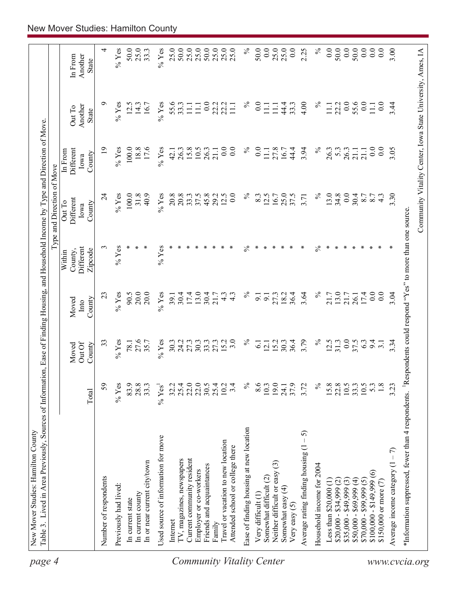| page 4                    | Table 3. Lived in Area Previously, Sources of Information, Ease of Finding Housing, and Household Income by Type and Direction of Move<br>New Mover Studies: Hamilton County |                            |                    |                                   |                                |                             |                              |                                                            |                    |
|---------------------------|------------------------------------------------------------------------------------------------------------------------------------------------------------------------------|----------------------------|--------------------|-----------------------------------|--------------------------------|-----------------------------|------------------------------|------------------------------------------------------------|--------------------|
|                           |                                                                                                                                                                              |                            |                    |                                   |                                | Type and Direction of Move  |                              |                                                            |                    |
|                           |                                                                                                                                                                              |                            | Out Of<br>Moved    | Moved<br>Into                     | Different<br>County,<br>Within | Different<br>Out To<br>Iowa | Different<br>In From<br>Iowa | Another<br>Out To                                          | Another<br>In From |
|                           |                                                                                                                                                                              | Total                      | County             | County                            | Zipcode                        | County                      | County                       | State                                                      | State              |
|                           | Number of respondents                                                                                                                                                        | 59                         | 33                 | 23                                | 3                              | 24                          | $\overline{19}$              | ๑                                                          | 4                  |
|                           | Previously had lived:                                                                                                                                                        | $%$ Yes                    | $\%$ Yes           | $%$ Yes                           | $%$ Yes                        | $%$ Yes                     | $\%$ Yes                     | $\%$ Yes                                                   | $%$ Yes            |
|                           | In current state                                                                                                                                                             | 83.9                       | 78.1               | 90.5                              |                                | $100.0$                     | 100.0                        | 12.5                                                       | 50.0               |
|                           | In current county                                                                                                                                                            | 28.8                       | 27.6               | 20.0                              |                                | 31.8                        | 18.8                         | 14.3                                                       | 25.0               |
|                           | In or near current city/town                                                                                                                                                 | 33.3                       | 35.7               | 20.0                              |                                | 40.9                        | 17.6                         | 16.7                                                       | 33.3               |
|                           | Used source of information for move                                                                                                                                          | $%$ Yes <sup>1</sup>       | $%$ Yes            | $%$ Yes                           | $%$ Yes                        | $%$ Yes                     | $%$ Yes                      | $%$ Yes                                                    | $%$ Yes            |
|                           | Internet                                                                                                                                                                     | 32.2                       | 30.3               | 39.1                              |                                | 20.8                        | 42.1                         | 55.6                                                       | 25.0               |
|                           | IV, magazines, newspapers                                                                                                                                                    | 25.4                       | 24.2<br>27.3       | 30.4                              |                                | 20.8                        | 26.3                         | 33.3                                                       | 50.0               |
|                           | Current community resident                                                                                                                                                   | 22.0                       |                    | 17.4                              |                                | 33.3                        | 15.8                         | $\overline{111}$                                           | 25.0               |
|                           | Employer or co-workers                                                                                                                                                       | 22.0                       | 30.3               | 13.0                              |                                | 37.5                        | 10.5                         | $\Xi$                                                      | 25.0               |
|                           | Friends and acquaintances                                                                                                                                                    | 30.5                       | 33.3               | $30.4$<br>21.7                    |                                | 45.8                        | 26.3                         | 0.0                                                        | 50.0               |
|                           | Family                                                                                                                                                                       | 25.4                       | 27.3               |                                   |                                | 29.2                        | 21.1                         | 22.2                                                       | 25.0               |
| Community Vitality Center | Travel or vacation to new location<br>Attended school or college there                                                                                                       | 3.4<br>10.2                | 15.2<br>3.0        | $4.\overline{3}$<br>$\frac{4}{3}$ |                                | 0.0<br>12.5                 | 0.0<br>0.0                   | 22.2<br>$\Xi$                                              | $25.0$<br>$25.0$   |
|                           |                                                                                                                                                                              |                            |                    |                                   |                                |                             |                              |                                                            |                    |
|                           | Ease of finding housing at new location                                                                                                                                      | $\%$                       | $\%$               | $\%$                              | ℅                              | $\%$                        | $\%$                         | $\%$                                                       | $\%$               |
|                           | Very difficult (1)                                                                                                                                                           | 8.6                        | $\overline{\circ}$ | 9.1                               |                                | 8.3                         | 0.0                          | $\overline{0}$ .                                           | 50.0               |
|                           | Somewhat difficult (2)                                                                                                                                                       | 10.3                       | $\overline{2}$     | $\overline{9}$ .                  |                                | 12.5                        | 11.1                         | $\Xi$                                                      | 0.0                |
|                           | $\widehat{\mathbb{G}}$<br>Neither difficult or easy                                                                                                                          | 19.0                       | 15.2               | 27.3                              |                                | 16.7                        | 27.8                         | $\Xi$                                                      | 25.0               |
|                           | Somewhat easy (4)                                                                                                                                                            | 24.1                       | 30.3               |                                   |                                | 25.0                        | 16.7                         | 44.4                                                       | 25.0               |
|                           | Very easy (5)                                                                                                                                                                | 37.9                       | 36.4               | 36.4                              | ∗                              | 37.5                        | 44.4                         | 33.3                                                       | 0.0                |
|                           | $-5$<br>Average rating finding housing (1                                                                                                                                    | 3.72                       | 3.79               | 3.64                              | ×                              | 3.71                        | 3.94                         | 4.00                                                       | 2.25               |
|                           | Household income for 2004                                                                                                                                                    | $\%$                       | $\%$               | $\%$                              | $\%$                           | $\%$                        | $\%$                         | $\%$                                                       | $\%$               |
|                           | Less than $$20,000(1)$                                                                                                                                                       | 15.8                       | 12.5               | 21.7                              | ∗                              | 13.0                        | 26.3                         | 11.1                                                       | 0.0                |
|                           | $$20,000 - $34,999 (2)$                                                                                                                                                      |                            | 31.3               | $13.0$<br>$21.7$                  |                                | 34.8                        | 5.3                          | 22.2                                                       | 50.0               |
|                           | $$35,000 - $49,999(3)$                                                                                                                                                       | $22.8$<br>$10.5$<br>$33.3$ | 0.0                |                                   |                                | 0.0                         | 26.3                         | 0.0                                                        | 0.0                |
|                           | $$50,000 - $69,999(4)$                                                                                                                                                       |                            | 37.5               | 26.1                              |                                | 30.4                        | 21.1                         | 55.6                                                       | 50.0               |
|                           | $$70,000 - $99,999(5)$                                                                                                                                                       | $10.5$                     | 63                 | 17.4                              |                                | 8.7                         | 21.1                         | 0.0                                                        | 0.0                |
|                           | $$100,000 - $149,999(6)$                                                                                                                                                     | 5.3                        | 9.4                | 0.0                               |                                | 8.7                         | 0.0                          | $\overline{111}$                                           | 0.0                |
|                           | \$150,000 or more (7)                                                                                                                                                        | 1.8                        | $\overline{5}$ .   | 0.0                               |                                | $4.\overline{3}$            | 0.0                          | 0.0                                                        | 0.0                |
|                           | Average income category $(1 - 7)$                                                                                                                                            | 3.23                       | 3.34               | 3.04                              |                                | 3.30                        | 3.05                         | 3.44                                                       | 3.00               |
|                           | *Information suppressed, fewer than 4 respondents. <sup>1</sup> Respondents could respond "Yes" to more than one source                                                      |                            |                    |                                   |                                |                             |                              |                                                            |                    |
| www.cvcia.org             |                                                                                                                                                                              |                            |                    |                                   |                                |                             |                              | Community Vitality Center, Iowa State University, Ames, IA |                    |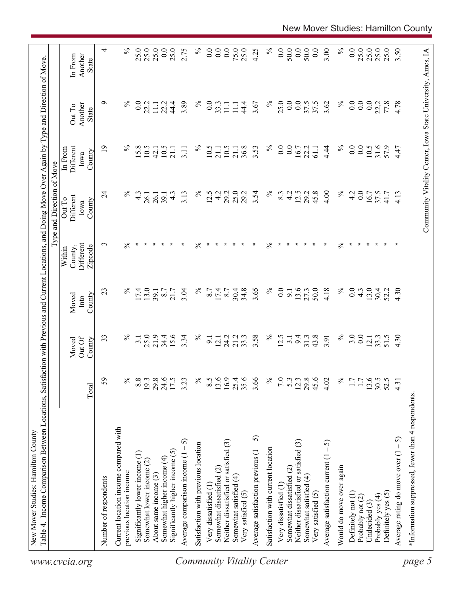| Table 4. Income Comparison Between Locations, Satisfaction with Previous and Current Locations, and Doing Move Over Again by Type and Direction of Move | Total                                     | 59              | $\frac{5}{6}$<br>Current location income compared with | $8.8\,$          |      | $\frac{19.3}{29.8}$ |      | 17.5          | 3.23<br>$\widehat{5}$<br>Average comparison income (1 - | $\%$<br>Satisfaction with previous location | 8.5  | 13.6             | 16.9<br>Neither dissatisfied or satisfied (3) | 35.6<br>25.4  | 3.66<br>Average satisfaction previous $(1 - 5)$ | $\%$<br>Satisfaction with current location |                  | $\frac{5}{2}$ .                 | 12.3<br>Neither dissatisfied or satisfied (3) | 45.6<br>$29.8\,$ | 4.02<br>Average satisfaction current $(1 - 5)$ | $\%$ | 1.7              | 1.7              |        | $13.6$<br>$30.5$<br>$52.5$ |      | 4.31<br>Average rating do move over $(1 - 5)$ |
|---------------------------------------------------------------------------------------------------------------------------------------------------------|-------------------------------------------|-----------------|--------------------------------------------------------|------------------|------|---------------------|------|---------------|---------------------------------------------------------|---------------------------------------------|------|------------------|-----------------------------------------------|---------------|-------------------------------------------------|--------------------------------------------|------------------|---------------------------------|-----------------------------------------------|------------------|------------------------------------------------|------|------------------|------------------|--------|----------------------------|------|-----------------------------------------------|
|                                                                                                                                                         | Out Of<br>Moved<br>County                 | 33              | $\%$                                                   | 3.1              | 25.0 | 21.9                | 34.4 | 15.6          | 3.34                                                    | $\%$                                        | 9.1  | 12.1             | 24.2                                          | 21.2<br>33.3  | 3.58                                            | $\%$                                       | 12.5             | $\overline{3}\cdot\overline{1}$ | 9.4                                           | 43.8<br>31.3     | 3.91                                           | $\%$ | 3.0              | 0.0              | 12.1   | 33.3                       | 51.5 | 4.30                                          |
|                                                                                                                                                         | Moved<br>County<br>Into                   | 23              | $\%$                                                   | 17.4             | 13.0 | 39.1                | 8.7  | 21.7          | 3.04                                                    | $\%$                                        | 8.7  | 17.4             | 8.7                                           | 30.4<br>34.8  | 3.65                                            | $\%$                                       | 0.0              | 9.1                             | 13.6                                          | 50.0<br>27.3     | 4.18                                           | $\%$ | $\overline{0.0}$ | $4.\overline{3}$ | 13.0   | 30.4                       | 52.2 | 4.30                                          |
|                                                                                                                                                         | Different<br>Zipcode<br>County,<br>Within | 3               | $\%$                                                   | $\ast$           | ∗    | ∗                   | ∗    | ∗             | ∗                                                       | ℅                                           | ∗    | ∗                | ∗                                             | ∗<br>∗        | ∗                                               | $\%$                                       | $\ast$           | ∗                               | $\ast$                                        | ∗<br>∗           | $\ast$                                         | $\%$ | ∗                | ∗                | $\ast$ | ∗                          | ∗    | ∗                                             |
| Type and Direction of Move                                                                                                                              | Different<br>Out To<br>County<br>Iowa     | $\overline{24}$ | $\%$                                                   | $4.\overline{3}$ | 26.1 | 26.1                | 39.1 | $\frac{3}{4}$ | 3.13                                                    | $\%$                                        | 12.5 | 4.2              | 29.2                                          | 25.0<br>29.2  | 3.54                                            | $\%$                                       | 8.3              | $\frac{4}{2}$                   | 12.5                                          | 45.8<br>29.2     | 4.00                                           | $\%$ | 4.2              | 0.0              | 16.7   | 37.5                       | 41.7 | 4.13                                          |
|                                                                                                                                                         | Different<br>In From<br>County<br>Iowa    | $\overline{19}$ | $\%$                                                   | 15.8             | 10.5 | 42.1                | 10.5 | 21.1          | 3.11                                                    | $\%$                                        | 10.5 | 21.1             | 10.5                                          | 36.8<br>21.1  | 3.53                                            | $\%$                                       | $\overline{0}$ . | 0.0                             | 16.7                                          | 22.2<br>61.1     | 4.44                                           | $\%$ | $\overline{0.0}$ | 0.0              | 10.5   | 31.6                       | 57.9 | 4.47                                          |
|                                                                                                                                                         | Another<br>Out To<br>State                | ๑               | $\%$                                                   | $\overline{0}$ . | 22.2 | $\Xi$               | 22.2 | 44.4          | 3.89                                                    | $\%$                                        | 0.0  | 33.3             | $\Xi$                                         | 44.4<br>$\Xi$ | 3.67                                            | $\%$                                       | 25.0             | 0.0                             | 0.0                                           | 37.5             | 3.62                                           | $\%$ | 0.0              | 0.0              | 0.0    | 22.2                       | 77.8 | 4.78                                          |
|                                                                                                                                                         | Another<br>In From<br><b>State</b>        | 4               | $\%$                                                   | 25.0             | 25.0 | 25.0                | 0.0  | 25.0          | 2.75                                                    | $\%$                                        | 0.0  | $\overline{0.0}$ | 0.0                                           | 75.0<br>25.0  | 4.25                                            | $\%$                                       | 0.0              | 50.0                            | 0.0                                           | 50.0<br>0.0      | 3.00                                           | $\%$ | $\overline{0.0}$ | 25.0             | 25.0   | 25.0                       | 25.0 | 3.50                                          |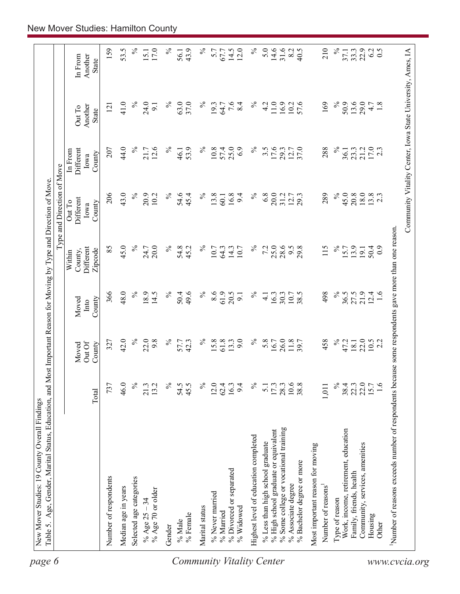| 31.6<br>43.9<br>$14.5$<br>12.0<br>8.2<br>22.9<br>6.2<br>40.5<br>33.3<br>$\overline{0.5}$<br>67.7<br>State<br>$\%$<br>$\%$<br>$\%$<br>7.6<br>$\%$<br>11.0<br>169<br>$\%$<br>50.9<br>13.6<br>41.0<br>24.0<br>63.0<br>37.0<br>4.2<br>16.9<br>57.6<br>29.0<br>1.8<br>19.3<br>64.7<br>8.4<br>10.2<br>4.7<br>9.1<br>121<br>Another<br>Out To<br>State<br>$\%$<br>$\%$<br>44.0<br>12.6<br>$\%$<br>$\%$<br>17.6<br>$\frac{21.2}{17.0}$<br>$\%$<br>53.9<br>25.0<br>6.9<br>$3.\overline{5}$<br>37.0<br>288<br>207<br>21.7<br>10.8<br>57.4<br>29.3<br>12.7<br>23.3<br>Different<br>36.1<br>In From<br>46.1<br>County<br>Iowa<br>206<br>43.0<br>$\%$<br>$\%$<br>6.8<br>20.0<br>$\%$<br>45.0<br>20.8<br>$18.0\,$<br>$13.8$<br>2.3<br>20.9<br>$\%$<br>54.6<br>$\%$<br>13.8<br>16.8<br>289<br>10.2<br>45.4<br>9.4<br>31.2<br>12.7<br>$60.1$<br>Different<br>Out To<br>County<br>Iowa<br>use some respondents gave more than one reason.<br>$\%$<br>45.0<br>$\%$<br>$\%$<br>25.0<br>28.6<br>$\%$<br>85<br>$\%$<br>54.8<br>7.2<br>115<br>20.0<br>45.2<br>9.5<br>29.8<br>13.9<br>24.7<br>10.7<br>64.3<br>14.3<br>10.7<br>15.7<br>50.4<br>Different<br>$\overline{0}$<br>19.1<br>County,<br>Zipcode<br>Within<br>366<br>48.0<br>$\%$<br>18.9<br>$\%$<br>8.6<br>61.9<br>$\%$<br>21.9<br>14.5<br>$\%$<br>50.4<br>49.6<br>20.5<br>$\%$<br>38.5<br>498<br>36.5<br>27.5<br>$12.4$<br>1.6<br>$\frac{1}{4}$<br>16.3<br>9.1<br>30.3<br>10.7<br>County<br>Moved<br>Into<br>$\%$<br>$\%$<br>$\%$<br>22.0<br>42.0<br>22.0<br>9.8<br>$\%$<br>$\%$<br>61.8<br>9.0<br>5.8<br>26.0<br>458<br>57.7<br>42.3<br>15.8<br>13.3<br>16.7<br>11.8<br>47.2<br>18.1<br>$10.5$<br>2.2<br>327<br>Out Of<br>County<br>Moved<br>Number of reasons exceeds number of respondents beca<br>$\frac{5}{6}$<br>$\frac{173}{2800}$<br>$\frac{3}{1008}$<br>$\approx$<br>22.0<br>22.0<br>15.7<br>1.6<br>46.0<br>13.2<br>$\%$<br>54.5<br>45.5<br>$\%$<br>12.0<br>16.3<br>$\%$<br>38.4<br>737<br>21.3<br>62.4<br>9.4<br>5.1<br>1,011<br>Total<br>% Some college or vocational training<br>% High school graduate or equivalent<br>Work, income, retirement, education<br>Highest level of education completed<br>% Less than high school graduate<br>Community, services, amenities<br>Most important reason for moving<br>% Bachelor degree or more<br>% Divorced or separated<br>Family, friends, health<br>Number of respondents<br>Selected age categories<br>% Associate degree<br>Number of reasons<br>Median age in years<br>% Age 70 or older<br>% Never married<br>Type of reason<br>% Age $25 - 34$<br>Marital status<br>% Widowed<br>% Married<br>% Female<br>Housing<br>% Male<br>Other<br>Gender |  |  | Type and Direction of Move |  |                    |
|----------------------------------------------------------------------------------------------------------------------------------------------------------------------------------------------------------------------------------------------------------------------------------------------------------------------------------------------------------------------------------------------------------------------------------------------------------------------------------------------------------------------------------------------------------------------------------------------------------------------------------------------------------------------------------------------------------------------------------------------------------------------------------------------------------------------------------------------------------------------------------------------------------------------------------------------------------------------------------------------------------------------------------------------------------------------------------------------------------------------------------------------------------------------------------------------------------------------------------------------------------------------------------------------------------------------------------------------------------------------------------------------------------------------------------------------------------------------------------------------------------------------------------------------------------------------------------------------------------------------------------------------------------------------------------------------------------------------------------------------------------------------------------------------------------------------------------------------------------------------------------------------------------------------------------------------------------------------------------------------------------------------------------------------------------------------------------------------------------------------------------------------------------------------------------------------------------------------------------------------------------------------------------------------------------------------------------------------------------------------------------------------------------------------------------------------------------------------------------------------------------------------------------------------------------------------------------------------------------------------------------------------------|--|--|----------------------------|--|--------------------|
|                                                                                                                                                                                                                                                                                                                                                                                                                                                                                                                                                                                                                                                                                                                                                                                                                                                                                                                                                                                                                                                                                                                                                                                                                                                                                                                                                                                                                                                                                                                                                                                                                                                                                                                                                                                                                                                                                                                                                                                                                                                                                                                                                                                                                                                                                                                                                                                                                                                                                                                                                                                                                                                    |  |  |                            |  | Another<br>In From |
|                                                                                                                                                                                                                                                                                                                                                                                                                                                                                                                                                                                                                                                                                                                                                                                                                                                                                                                                                                                                                                                                                                                                                                                                                                                                                                                                                                                                                                                                                                                                                                                                                                                                                                                                                                                                                                                                                                                                                                                                                                                                                                                                                                                                                                                                                                                                                                                                                                                                                                                                                                                                                                                    |  |  |                            |  | 159                |
|                                                                                                                                                                                                                                                                                                                                                                                                                                                                                                                                                                                                                                                                                                                                                                                                                                                                                                                                                                                                                                                                                                                                                                                                                                                                                                                                                                                                                                                                                                                                                                                                                                                                                                                                                                                                                                                                                                                                                                                                                                                                                                                                                                                                                                                                                                                                                                                                                                                                                                                                                                                                                                                    |  |  |                            |  | 53.5               |
|                                                                                                                                                                                                                                                                                                                                                                                                                                                                                                                                                                                                                                                                                                                                                                                                                                                                                                                                                                                                                                                                                                                                                                                                                                                                                                                                                                                                                                                                                                                                                                                                                                                                                                                                                                                                                                                                                                                                                                                                                                                                                                                                                                                                                                                                                                                                                                                                                                                                                                                                                                                                                                                    |  |  |                            |  | $\%$               |
|                                                                                                                                                                                                                                                                                                                                                                                                                                                                                                                                                                                                                                                                                                                                                                                                                                                                                                                                                                                                                                                                                                                                                                                                                                                                                                                                                                                                                                                                                                                                                                                                                                                                                                                                                                                                                                                                                                                                                                                                                                                                                                                                                                                                                                                                                                                                                                                                                                                                                                                                                                                                                                                    |  |  |                            |  | 17.0<br>15.1       |
|                                                                                                                                                                                                                                                                                                                                                                                                                                                                                                                                                                                                                                                                                                                                                                                                                                                                                                                                                                                                                                                                                                                                                                                                                                                                                                                                                                                                                                                                                                                                                                                                                                                                                                                                                                                                                                                                                                                                                                                                                                                                                                                                                                                                                                                                                                                                                                                                                                                                                                                                                                                                                                                    |  |  |                            |  | ℅                  |
|                                                                                                                                                                                                                                                                                                                                                                                                                                                                                                                                                                                                                                                                                                                                                                                                                                                                                                                                                                                                                                                                                                                                                                                                                                                                                                                                                                                                                                                                                                                                                                                                                                                                                                                                                                                                                                                                                                                                                                                                                                                                                                                                                                                                                                                                                                                                                                                                                                                                                                                                                                                                                                                    |  |  |                            |  | 56.1               |
|                                                                                                                                                                                                                                                                                                                                                                                                                                                                                                                                                                                                                                                                                                                                                                                                                                                                                                                                                                                                                                                                                                                                                                                                                                                                                                                                                                                                                                                                                                                                                                                                                                                                                                                                                                                                                                                                                                                                                                                                                                                                                                                                                                                                                                                                                                                                                                                                                                                                                                                                                                                                                                                    |  |  |                            |  |                    |
|                                                                                                                                                                                                                                                                                                                                                                                                                                                                                                                                                                                                                                                                                                                                                                                                                                                                                                                                                                                                                                                                                                                                                                                                                                                                                                                                                                                                                                                                                                                                                                                                                                                                                                                                                                                                                                                                                                                                                                                                                                                                                                                                                                                                                                                                                                                                                                                                                                                                                                                                                                                                                                                    |  |  |                            |  |                    |
|                                                                                                                                                                                                                                                                                                                                                                                                                                                                                                                                                                                                                                                                                                                                                                                                                                                                                                                                                                                                                                                                                                                                                                                                                                                                                                                                                                                                                                                                                                                                                                                                                                                                                                                                                                                                                                                                                                                                                                                                                                                                                                                                                                                                                                                                                                                                                                                                                                                                                                                                                                                                                                                    |  |  |                            |  | 5.7                |
|                                                                                                                                                                                                                                                                                                                                                                                                                                                                                                                                                                                                                                                                                                                                                                                                                                                                                                                                                                                                                                                                                                                                                                                                                                                                                                                                                                                                                                                                                                                                                                                                                                                                                                                                                                                                                                                                                                                                                                                                                                                                                                                                                                                                                                                                                                                                                                                                                                                                                                                                                                                                                                                    |  |  |                            |  |                    |
|                                                                                                                                                                                                                                                                                                                                                                                                                                                                                                                                                                                                                                                                                                                                                                                                                                                                                                                                                                                                                                                                                                                                                                                                                                                                                                                                                                                                                                                                                                                                                                                                                                                                                                                                                                                                                                                                                                                                                                                                                                                                                                                                                                                                                                                                                                                                                                                                                                                                                                                                                                                                                                                    |  |  |                            |  |                    |
|                                                                                                                                                                                                                                                                                                                                                                                                                                                                                                                                                                                                                                                                                                                                                                                                                                                                                                                                                                                                                                                                                                                                                                                                                                                                                                                                                                                                                                                                                                                                                                                                                                                                                                                                                                                                                                                                                                                                                                                                                                                                                                                                                                                                                                                                                                                                                                                                                                                                                                                                                                                                                                                    |  |  |                            |  |                    |
|                                                                                                                                                                                                                                                                                                                                                                                                                                                                                                                                                                                                                                                                                                                                                                                                                                                                                                                                                                                                                                                                                                                                                                                                                                                                                                                                                                                                                                                                                                                                                                                                                                                                                                                                                                                                                                                                                                                                                                                                                                                                                                                                                                                                                                                                                                                                                                                                                                                                                                                                                                                                                                                    |  |  |                            |  | 5.0                |
|                                                                                                                                                                                                                                                                                                                                                                                                                                                                                                                                                                                                                                                                                                                                                                                                                                                                                                                                                                                                                                                                                                                                                                                                                                                                                                                                                                                                                                                                                                                                                                                                                                                                                                                                                                                                                                                                                                                                                                                                                                                                                                                                                                                                                                                                                                                                                                                                                                                                                                                                                                                                                                                    |  |  |                            |  | 14.6               |
|                                                                                                                                                                                                                                                                                                                                                                                                                                                                                                                                                                                                                                                                                                                                                                                                                                                                                                                                                                                                                                                                                                                                                                                                                                                                                                                                                                                                                                                                                                                                                                                                                                                                                                                                                                                                                                                                                                                                                                                                                                                                                                                                                                                                                                                                                                                                                                                                                                                                                                                                                                                                                                                    |  |  |                            |  |                    |
|                                                                                                                                                                                                                                                                                                                                                                                                                                                                                                                                                                                                                                                                                                                                                                                                                                                                                                                                                                                                                                                                                                                                                                                                                                                                                                                                                                                                                                                                                                                                                                                                                                                                                                                                                                                                                                                                                                                                                                                                                                                                                                                                                                                                                                                                                                                                                                                                                                                                                                                                                                                                                                                    |  |  |                            |  |                    |
|                                                                                                                                                                                                                                                                                                                                                                                                                                                                                                                                                                                                                                                                                                                                                                                                                                                                                                                                                                                                                                                                                                                                                                                                                                                                                                                                                                                                                                                                                                                                                                                                                                                                                                                                                                                                                                                                                                                                                                                                                                                                                                                                                                                                                                                                                                                                                                                                                                                                                                                                                                                                                                                    |  |  |                            |  |                    |
|                                                                                                                                                                                                                                                                                                                                                                                                                                                                                                                                                                                                                                                                                                                                                                                                                                                                                                                                                                                                                                                                                                                                                                                                                                                                                                                                                                                                                                                                                                                                                                                                                                                                                                                                                                                                                                                                                                                                                                                                                                                                                                                                                                                                                                                                                                                                                                                                                                                                                                                                                                                                                                                    |  |  |                            |  | 210                |
|                                                                                                                                                                                                                                                                                                                                                                                                                                                                                                                                                                                                                                                                                                                                                                                                                                                                                                                                                                                                                                                                                                                                                                                                                                                                                                                                                                                                                                                                                                                                                                                                                                                                                                                                                                                                                                                                                                                                                                                                                                                                                                                                                                                                                                                                                                                                                                                                                                                                                                                                                                                                                                                    |  |  |                            |  | $\%$               |
|                                                                                                                                                                                                                                                                                                                                                                                                                                                                                                                                                                                                                                                                                                                                                                                                                                                                                                                                                                                                                                                                                                                                                                                                                                                                                                                                                                                                                                                                                                                                                                                                                                                                                                                                                                                                                                                                                                                                                                                                                                                                                                                                                                                                                                                                                                                                                                                                                                                                                                                                                                                                                                                    |  |  |                            |  | 37.1               |
|                                                                                                                                                                                                                                                                                                                                                                                                                                                                                                                                                                                                                                                                                                                                                                                                                                                                                                                                                                                                                                                                                                                                                                                                                                                                                                                                                                                                                                                                                                                                                                                                                                                                                                                                                                                                                                                                                                                                                                                                                                                                                                                                                                                                                                                                                                                                                                                                                                                                                                                                                                                                                                                    |  |  |                            |  |                    |
|                                                                                                                                                                                                                                                                                                                                                                                                                                                                                                                                                                                                                                                                                                                                                                                                                                                                                                                                                                                                                                                                                                                                                                                                                                                                                                                                                                                                                                                                                                                                                                                                                                                                                                                                                                                                                                                                                                                                                                                                                                                                                                                                                                                                                                                                                                                                                                                                                                                                                                                                                                                                                                                    |  |  |                            |  |                    |
|                                                                                                                                                                                                                                                                                                                                                                                                                                                                                                                                                                                                                                                                                                                                                                                                                                                                                                                                                                                                                                                                                                                                                                                                                                                                                                                                                                                                                                                                                                                                                                                                                                                                                                                                                                                                                                                                                                                                                                                                                                                                                                                                                                                                                                                                                                                                                                                                                                                                                                                                                                                                                                                    |  |  |                            |  |                    |
|                                                                                                                                                                                                                                                                                                                                                                                                                                                                                                                                                                                                                                                                                                                                                                                                                                                                                                                                                                                                                                                                                                                                                                                                                                                                                                                                                                                                                                                                                                                                                                                                                                                                                                                                                                                                                                                                                                                                                                                                                                                                                                                                                                                                                                                                                                                                                                                                                                                                                                                                                                                                                                                    |  |  |                            |  |                    |
|                                                                                                                                                                                                                                                                                                                                                                                                                                                                                                                                                                                                                                                                                                                                                                                                                                                                                                                                                                                                                                                                                                                                                                                                                                                                                                                                                                                                                                                                                                                                                                                                                                                                                                                                                                                                                                                                                                                                                                                                                                                                                                                                                                                                                                                                                                                                                                                                                                                                                                                                                                                                                                                    |  |  |                            |  |                    |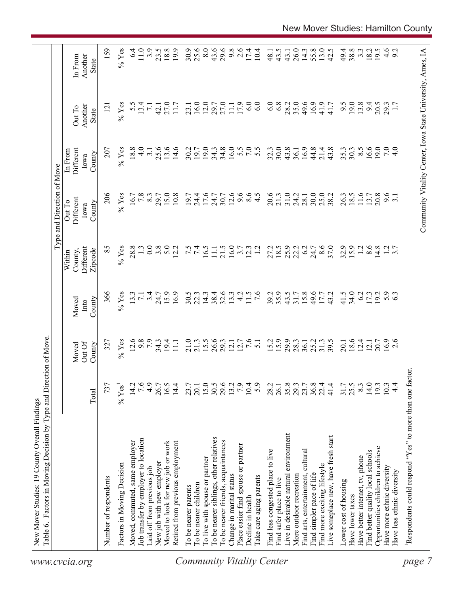|                                  | Table 6. Factors in Moving Decision by Type and Direction of Move. |                  |                           |                         |                                           | Type and Direction of Move            |                                        |                                                            |                                    |
|----------------------------------|--------------------------------------------------------------------|------------------|---------------------------|-------------------------|-------------------------------------------|---------------------------------------|----------------------------------------|------------------------------------------------------------|------------------------------------|
| www.cvcia.org                    |                                                                    | Total            | Out Of<br>County<br>Moved | County<br>Moved<br>Into | Different<br>Zipcode<br>County,<br>Within | Different<br>Out To<br>County<br>Iowa | Different<br>In From<br>County<br>Iowa | Another<br>Out To<br>State                                 | Another<br>In From<br><b>State</b> |
|                                  | Number of respondents                                              | 737              | 327                       | 366                     | 85                                        | 206                                   | 207                                    | $\overline{2}$                                             | 159                                |
|                                  | Factors in Moving Decision                                         | $\%$ Yes         | $%$ Yes                   | $%$ Yes                 | $%$ Yes                                   | $%$ Yes                               | $%$ Yes                                | $%$ Yes                                                    | $%$ Yes                            |
|                                  | Moved, commuted, same employer                                     | 14.2             | 12.6                      | 13.3                    | 28.8                                      | 16.7                                  | 18.8                                   | 5.5                                                        | 6.4                                |
|                                  | Job transfer by employer to location                               | 7.6              | 9.8                       | $\overline{7.1}$        |                                           | 7.8                                   | $\frac{0}{4}$                          | 13.4                                                       | 11.0                               |
|                                  | Laid off from previous job                                         | 4.9              | 7.9                       | 3.4                     | 0.0                                       | 8.3                                   | 3.1                                    | $\overline{71}$                                            | 3.9                                |
|                                  | New job with new employer                                          | 26.7             | $34.3$<br>19.4            | 24.7                    | 3.8                                       | 29.7                                  | 25.6                                   | 42.1                                                       | 23.5                               |
|                                  | Moved to look for new job or work                                  | 16.5             |                           | 15.9                    | 5.0                                       | 15.0                                  | 13.6                                   | 27.0                                                       | 18.8                               |
|                                  | Retired from previous employment                                   | 14.4             | $\Xi$                     | 16.9                    | 12.2                                      | 10.8                                  | 14.6                                   | 11.7                                                       | 19.9                               |
|                                  | To be nearer parents                                               | 23.7             | 21.0                      | 30.5                    |                                           | 19.7                                  | 30.2                                   | 23.1                                                       | 30.9                               |
|                                  | To be nearer children                                              | 20.1             | 21.3                      | 22.3                    | $7.\overline{5}$                          | 24.4                                  | 19.7                                   | 16.0                                                       | 25.6                               |
|                                  | To live with spouse or partner                                     |                  | 15.5                      | 14.3                    | 16.5                                      | 17.6                                  | 19.0                                   | 12.0                                                       | 8.0                                |
|                                  | To be nearer siblings, other relatives                             | $15.0$<br>$30.5$ | 26.6                      | 38.4                    | $\Xi$                                     | 24.7                                  | 34.3                                   | 29.7                                                       | 43.6                               |
|                                  | To be nearer friends, acquaintances                                | 29.6             | 29.3                      | 32.6                    | 21.5                                      | 30.7                                  | 34.8                                   | 27.0                                                       | 29.6                               |
|                                  | Change in marital status                                           | 13.2             | 12.1                      | 13.3                    | 16.0                                      | 12.6                                  | 16.0                                   | $\overline{111}$                                           | 9.8                                |
|                                  | Place easier find spouse or partner                                | 7.9              | 12.7                      | $\frac{1}{4}$           | 3.7                                       | 9.6                                   |                                        | 17.9                                                       | 2.6                                |
|                                  | Decline in health                                                  | 10.4             | 7.6                       | 11.5                    | 12.3                                      | $\frac{6}{4}$ .5                      | 5.0000                                 | 6.0                                                        | 17.4                               |
| <b>Community Vitality Center</b> | Take care aging parents                                            | 5.9              | $\overline{51}$           | $\overline{7.6}$        | $\overline{12}$                           |                                       |                                        | 6.0                                                        | 10.4                               |
|                                  | Find less congested place to live                                  | 28.2             | 15.2                      | 39.2                    | 27.2                                      | 20.6                                  | 32.3                                   | 6.0                                                        | 48.1                               |
|                                  | Find safer place to live                                           | 26.1             | 15.9                      | 35.9                    | 18.5                                      | 21.3                                  | 30.0                                   | 6.8                                                        | 43.5                               |
|                                  | Live in desirable natural environment                              | 35.8             | 29.9                      | 43.5                    | 25.9                                      | 31.0                                  | 43.8                                   | 28.2                                                       | 43.1                               |
|                                  | More outdoor recreation                                            | 29.3             | 28.3                      | 31.7                    | 22.2                                      | 24.2                                  | 36.1                                   | 35.0                                                       | 26.0                               |
|                                  | Find arts, entertainment, cultural                                 | 23.7             | 36.1                      | 15.8                    | 6.2                                       | 28.1                                  | 16.9                                   | 49.6                                                       | 14.3                               |
|                                  | Find simpler pace of life                                          | $36.8$<br>$22.4$ | 25.2                      | 49.6                    | 24.7                                      | 30.0                                  | 44.8                                   | 16.9                                                       | 55.8                               |
|                                  | Find more exciting lifestyle                                       |                  | 31.3                      | 17.7                    | 8.6                                       | 25.0                                  | 21.4                                   | 41.9                                                       | 13.0                               |
|                                  | Live someplace new, have fresh start                               | 41.4             | 39.5                      | 43.2                    | 37.0                                      | 38.2                                  | 43.8                                   | 41.7                                                       | 42.5                               |
|                                  | Lower cost of housing                                              | 31.7             | 20.1                      | 41.5                    | 32.9                                      | 26.3                                  | 35.3                                   | 9.5                                                        | 49.4                               |
|                                  | Have lower taxes                                                   | 25.5             | 18.6                      | 34.0                    | 15.9                                      | 18.5                                  | 30.3                                   | 19.0                                                       | 38.8                               |
|                                  | Have better internet, tv, phone                                    | 8.3              | 12.4                      | 6.2                     | 1.2                                       | 11.6                                  | $8.\overline{5}$                       | 13.8                                                       | $3.\overline{3}$                   |
|                                  | Find better quality local schools                                  | 14.0             | 12.1                      | 17.3                    | 8.6                                       | 13.7                                  | 16.6                                   | 94                                                         | 18.2                               |
|                                  | Opportunities children to achieve                                  | 193              | 20.7                      | 19.2                    | 14.8                                      | 20.8                                  | 19.0                                   | 20.5                                                       | 19.5                               |
|                                  | Have more ethnic diversity                                         | 10.3             | $16.9$<br>2.6             | 5.9                     |                                           | 9.6                                   | 7.0                                    | 29.3                                                       |                                    |
|                                  | Have less ethnic diversity                                         | $\frac{4}{4}$    |                           |                         | $\frac{1}{3}$ .7                          |                                       | $\frac{1}{4}$                          |                                                            | $4.6$<br>9.2                       |
| page                             | Respondents could respond "Yes" to more than one factor            |                  |                           |                         |                                           |                                       |                                        |                                                            |                                    |
|                                  |                                                                    |                  |                           |                         |                                           |                                       |                                        |                                                            |                                    |
|                                  |                                                                    |                  |                           |                         |                                           |                                       |                                        | Community Vitality Center, Iowa State University, Ames, IA |                                    |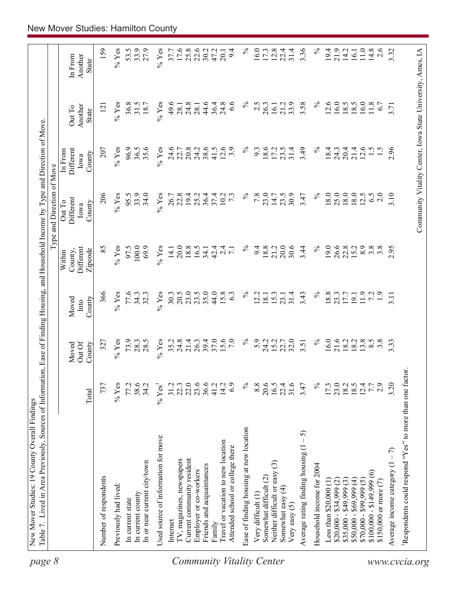| page 8                           | Table 7. Lived in Area Previously, Sources of Information, Ease of Finding Housing, and Household Income by Type and Direction of Move |                      |                          |                         |                                           | Type and Direction of Move                                 |                                        |                            |                             |
|----------------------------------|----------------------------------------------------------------------------------------------------------------------------------------|----------------------|--------------------------|-------------------------|-------------------------------------------|------------------------------------------------------------|----------------------------------------|----------------------------|-----------------------------|
|                                  |                                                                                                                                        | Total                | OutOf<br>County<br>Moved | County<br>Moved<br>Into | Different<br>Zipcode<br>County,<br>Within | Different<br>Out To<br>County<br>Iowa                      | Different<br>In From<br>County<br>Iowa | Another<br>Out To<br>State | In From<br>Another<br>State |
|                                  | Number of respondents                                                                                                                  | 737                  | 327                      | 366                     | 85                                        | 206                                                        | 207                                    | $\overline{2}$             | 159                         |
|                                  | Previously had lived:                                                                                                                  | $%$ Yes              | $%$ Yes                  | $%$ Yes                 | $\%$ Yes                                  | $%$ Yes                                                    | $%$ Yes                                | $\%$ Yes                   | $\%$ Yes                    |
|                                  | In current state                                                                                                                       | 77.2                 | 73.9                     | 77.6                    | 97.5                                      | 95.5                                                       | 96.9                                   | 36.8                       | 53.5                        |
|                                  | In current county                                                                                                                      | 38.6                 | 28.3                     | 34.3                    | 100.0                                     | 33.9                                                       | 36.5                                   | 31.5                       | 33.9                        |
|                                  | In or near current city/town                                                                                                           | 34.2                 | 28.5                     | 32.3                    | 69.9                                      | 34.0                                                       | 35.6                                   | 18.7                       | 27.9                        |
|                                  | Used source of information for move                                                                                                    | $%$ Yes <sup>1</sup> | $%$ Yes                  | $%$ Yes                 | $%$ Yes                                   | $%$ Yes                                                    | $%$ Yes                                | $\%$ Yes                   | $%$ Yes                     |
|                                  | Internet                                                                                                                               | 31.2                 | 35.2                     | 30.3                    | 14.1                                      | 26.7                                                       | 24.6                                   | 49.6                       | 37.7                        |
|                                  | TV, magazines, newspapers                                                                                                              | 22.3                 | 24.8                     | 20.5                    | 20.0                                      | 22.8                                                       | 22.7                                   | 28.1                       | 17.6                        |
|                                  | Current community resident                                                                                                             | 22.0                 | 21.4                     | 23.0                    | 18.8                                      | 19.4                                                       | 20.8                                   | 24.8                       | 25.8                        |
|                                  | Employer or co-workers                                                                                                                 | 23.6                 | 26.3                     | 23.5                    | 16.5                                      | 25.2                                                       | 24.2                                   | 28.1                       | 22.6                        |
|                                  | Friends and acquaintances                                                                                                              | 36.6                 | 39.4                     | 35.0                    | 34.1                                      | 36.4                                                       | 38.6                                   | 44.6                       | 30.2                        |
|                                  | Family                                                                                                                                 | 41.2                 | 37.0                     | 44.0                    | 42.4                                      | 37.4                                                       | 41.5                                   | 36.4                       | 47.2                        |
| <b>Community Vitality Center</b> | Travel or vacation to new location<br>Attended school or college there                                                                 | 14.2<br>6.9          | 15.6<br>7.0              | 15.8<br>63              | $2\overline{4}$<br>$\overline{7.1}$       | 10.2<br>$7\cdot$                                           | 12.6<br>3.9                            | 24.8<br>$\frac{6}{6}$      | 9.4<br>20.1                 |
|                                  | Ease of finding housing at new location                                                                                                | $\%$                 | $\%$                     | $\%$                    | $\%$                                      | $\%$                                                       | $\%$                                   | న                          | $\%$                        |
|                                  | Very difficult (1)                                                                                                                     | 8.8                  | 5.9                      | 2.2                     | 9.4                                       | 7.8                                                        | 9.3                                    | 2.5                        | 16.0                        |
|                                  | Somewhat difficult (2)                                                                                                                 | 20.6                 | 24.2                     | 18.1                    | 18.8                                      | 23.0                                                       | 18.6                                   | 26.3                       | 17.3                        |
|                                  | $\widehat{\mathbb{C}}$<br>Neither difficult or easy                                                                                    | 16.5                 | 15.2                     | 15.3                    | 21.2                                      | 14.7                                                       | 17.2                                   | 16.1                       | 12.8                        |
|                                  | Somewhat easy (4)<br>Very easy $(5)$                                                                                                   | 31.6<br>22.4         | 32.0<br>22.7             | 31.4<br>23.1            | 20.0<br>30.6                              | 30.9<br>23.5                                               | 31.4<br>23.5                           | 33.9<br>21.2               | 31.4<br>22.4                |
|                                  | 5<br>$\mathsf I$<br>Average rating finding housing (1                                                                                  | 3.47                 | 3.51                     | 3.43                    | 3.44                                      | 3.47                                                       | 3.49                                   | 3.58                       | 3.36                        |
|                                  | Household income for 2004                                                                                                              | $\%$                 | $\%$                     | $\%$                    | $\%$                                      | $\%$                                                       | $\%$                                   | $\%$                       | $\%$                        |
|                                  | Less than $$20,000$ $(1)$                                                                                                              | 17.3                 | 16.0                     | 18.8                    | 19.0                                      | 18.0                                                       | 18.4                                   | 12.6                       | 19.4                        |
|                                  | $$20,000 - $34,999 (2)$                                                                                                                | 23.0                 | 21.6                     | 23.3                    | 26.6                                      | 25.0                                                       | 24.3                                   | 16.0                       | 21.9                        |
|                                  | $$35,000 - $49,999(3)$                                                                                                                 |                      | 18.2                     | 17.7                    | 22.8                                      | 18.0                                                       | 20.4                                   | 18.5                       | 14.2                        |
|                                  | $$50,000 - $69,999(4)$                                                                                                                 | 18.5                 | 18.2                     | 19.1                    | 15.2                                      | 18.0                                                       | 21.4                                   | 18.5                       | 16.1                        |
|                                  | $$70,000 - $99,999(5)$                                                                                                                 | 12.4                 | 13.8                     | 11.9                    | 8.9                                       | 12.5                                                       | 12.6                                   | 16.0                       | 11.0                        |
|                                  | $\widehat{\circ}$<br>$$100,000 - $149,999$                                                                                             | 7.7                  | $8.\overline{5}$         | 7.2                     | $3.\overline{8}$                          | 6.5                                                        | $\frac{1}{5}$                          | 11.8                       | 14.8                        |
|                                  | \$150,000 or more (7)                                                                                                                  | 2.9                  | $3.\overline{8}$         | $\ddot{1}$ .            | $3.\overline{8}$                          | 2.0                                                        |                                        | 6.7                        | 2.6                         |
|                                  | Average income category $(1 - 7)$                                                                                                      | 3.20                 | 3.33                     | 3.11                    | 2.95                                      | 3.10                                                       | 2.96                                   | 3.71                       | 3.32                        |
| www.cvcia.org                    | Respondents could respond "Yes" to more than one factor.                                                                               |                      |                          |                         |                                           |                                                            |                                        |                            |                             |
|                                  |                                                                                                                                        |                      |                          |                         |                                           | Community Vitality Center, Iowa State University, Ames, IA |                                        |                            |                             |
|                                  |                                                                                                                                        |                      |                          |                         |                                           |                                                            |                                        |                            |                             |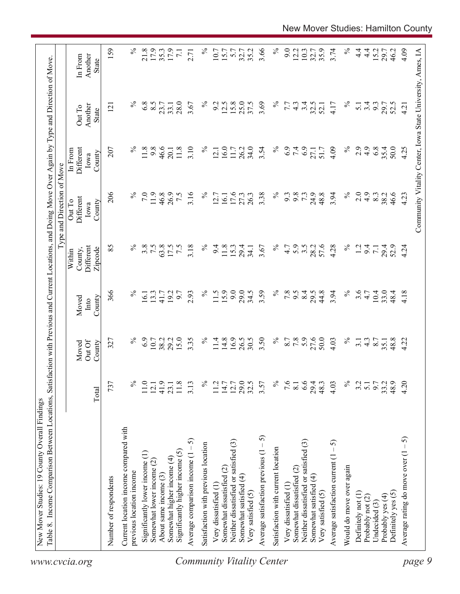| 159<br>$\%$<br>$\%$<br>$\%$<br>21.8<br>17.9<br>$\%$<br>3.66<br>9.0<br>4.09<br>35.3<br>17.9<br>35.2<br>12.2<br>10.3<br>35.9<br>3.74<br>$4\cdot$<br>15.2<br>10.7<br>15.7<br>32.7<br>32.7<br>$\frac{4}{1}$<br>29.7<br>46.2<br>Community Vitality Center, Iowa State University, Ames, IA<br>$\overline{7.1}$<br>5.7<br>2.71<br>Another<br>In From<br>State<br>$\%$<br>$\%$<br>$\%$<br>$\%$<br>6.8<br>8.5<br>28.0<br>15.8<br>25.0<br>37.5<br>3.69<br>3.4<br>3.67<br>9.2<br>12.5<br>7.7<br>32.5<br>$3.\overline{3}$<br>$4.\overline{3}$<br>4.17<br>29.7<br>52.5<br>23.7<br>33.1<br>52.1<br>$\overline{5}$ .<br>121<br>4.21<br>Another<br>Out To<br>State<br>$\%$<br>$\%$<br>2.9<br>11.8<br>9.8<br>46.6<br>3.10<br>$\%$<br>16.0<br>$\%$<br>6.9<br>7.4<br>6.9<br>4.9<br>6.8<br>35.4<br>207<br>11.8<br>26.2<br>34.0<br>3.54<br>4.09<br>50.0<br>4.25<br>$11.7\,$<br>51.7<br>Different<br>27.1<br>20.1<br>12.1<br>In From<br>County<br>Iowa<br>206<br>$\%$<br>$\%$<br>$\%$<br>7.0<br>11.9<br>3.16<br>$\%$<br>3.38<br>7.3<br>24.9<br>48.8<br>3.94<br>2.0<br>4.9<br>46.6<br>46.8<br>26.9<br>7.5<br>17.6<br>26.3<br>9.3<br>9.8<br>8.3<br>38.2<br>4.23<br>27.3<br>12.7<br>16.1<br>Different<br>Out To<br>County<br>Iowa<br>$\%$<br>57.6<br>$\%$<br>85<br>3.8<br>7.5<br>63.8<br>3.18<br>℅<br>5.9<br>3.5<br>28.2<br>4.28<br>Different<br>17.5<br>$\tilde{z}$<br>9.4<br>11.8<br>15.3<br>29.4<br>3.67<br>4.7<br>1.2<br>9.4<br>29.4<br>52.9<br>4.24<br>34.1<br>$\overline{7.1}$<br>County,<br>Zipcode<br>Within<br>11.5<br>9.0<br>$\%$<br>8.4<br>$\%$<br>3.6<br>366<br>$\%$<br>$\%$<br>29.0<br>3.59<br>7.8<br>44.8<br>3.94<br>$10.4\,$<br>2.93<br>34.5<br>9.5<br>29.5<br>33.0<br>13.3<br>19.2<br>6.6<br>4.7<br>48.4<br>4.18<br>16.1<br>41.7<br>County<br>Moved<br>$\mathop{\rm Int}\nolimits$<br>6.9<br>15.0<br>3.35<br>14.8<br>16.9<br>26.5<br>$\%$<br>7.8<br>27.6<br>50.0<br>$\%$<br>29.2<br>$\%$<br>30.5<br>3.50<br>8.7<br>$\%$<br>$\frac{4.3}{8.7}$<br>48.8<br>4.22<br>10.7<br>38.2<br>11.4<br>4.03<br>327<br>3.1<br>35.1<br>Out Of<br>County<br>Moved<br>$\%$<br>6.6<br>$\%$<br>737<br>℅<br>11.0<br>41.9<br>$\%$<br>$11.7$<br>$14.7$<br>12.7<br>29.0<br>32.5<br>7.6<br>9.7<br>33.2<br>48.9<br>4.20<br>11.8<br>3.13<br>3.57<br>29.4<br>48.3<br>4.03<br>3.2<br>23.1<br>8.1<br>$\overline{5}$ .<br>12.1<br>Total<br>Current location income compared with<br>Average satisfaction previous $(1 - 5)$<br>Average rating do move over $(1 - 5)$<br>5<br>Neither dissatisfied or satisfied (3)<br>Neither dissatisfied or satisfied (3)<br>Average satisfaction current $(1 - 5)$<br>Satisfaction with previous location<br>Satisfaction with current location<br>Significantly higher income (5)<br>Significantly lower income (1)<br>Average comparison income (1<br>Somewhat higher income (4)<br>Somewhat lower income $(2)$<br>Would do move over again<br>Somewhat dissatisfied (2)<br>Somewhat dissatisfied (2)<br>previous location income<br>About same income (3)<br>Somewhat satisfied (4)<br>Somewhat satisfied (4)<br>Number of respondents<br>Very dissatisfied (1)<br>Very dissatisfied (1<br>Very satisfied (5)<br>Very satisfied (5)<br>Definitely yes (5)<br>Definitely not (1)<br>Probably yes (4)<br>Probably not (2)<br>Undecided (3)<br>Community Vitality Center<br>page 9<br>www.cvcia.org | Table 8. Income Comparison Between Locations, | Satisfa |  | action with Previous and Current Locations, and Doing Move Over Again by Type and Direction of Move<br>Type and Direction of Move |  |  |
|------------------------------------------------------------------------------------------------------------------------------------------------------------------------------------------------------------------------------------------------------------------------------------------------------------------------------------------------------------------------------------------------------------------------------------------------------------------------------------------------------------------------------------------------------------------------------------------------------------------------------------------------------------------------------------------------------------------------------------------------------------------------------------------------------------------------------------------------------------------------------------------------------------------------------------------------------------------------------------------------------------------------------------------------------------------------------------------------------------------------------------------------------------------------------------------------------------------------------------------------------------------------------------------------------------------------------------------------------------------------------------------------------------------------------------------------------------------------------------------------------------------------------------------------------------------------------------------------------------------------------------------------------------------------------------------------------------------------------------------------------------------------------------------------------------------------------------------------------------------------------------------------------------------------------------------------------------------------------------------------------------------------------------------------------------------------------------------------------------------------------------------------------------------------------------------------------------------------------------------------------------------------------------------------------------------------------------------------------------------------------------------------------------------------------------------------------------------------------------------------------------------------------------------------------------------------------------------------------------------------------------------------------------------------------------------------------------------------------------------------------------------------------------------------------------------------------------------------------------------------------------------------------------------------------------------------------------------------------------------------------------------------------------------------------------------------------------------------------------------------------------------------------------------------------------------------------------------------------------------------------------------------------------------------|-----------------------------------------------|---------|--|-----------------------------------------------------------------------------------------------------------------------------------|--|--|
|                                                                                                                                                                                                                                                                                                                                                                                                                                                                                                                                                                                                                                                                                                                                                                                                                                                                                                                                                                                                                                                                                                                                                                                                                                                                                                                                                                                                                                                                                                                                                                                                                                                                                                                                                                                                                                                                                                                                                                                                                                                                                                                                                                                                                                                                                                                                                                                                                                                                                                                                                                                                                                                                                                                                                                                                                                                                                                                                                                                                                                                                                                                                                                                                                                                                                                |                                               |         |  |                                                                                                                                   |  |  |
|                                                                                                                                                                                                                                                                                                                                                                                                                                                                                                                                                                                                                                                                                                                                                                                                                                                                                                                                                                                                                                                                                                                                                                                                                                                                                                                                                                                                                                                                                                                                                                                                                                                                                                                                                                                                                                                                                                                                                                                                                                                                                                                                                                                                                                                                                                                                                                                                                                                                                                                                                                                                                                                                                                                                                                                                                                                                                                                                                                                                                                                                                                                                                                                                                                                                                                |                                               |         |  |                                                                                                                                   |  |  |
|                                                                                                                                                                                                                                                                                                                                                                                                                                                                                                                                                                                                                                                                                                                                                                                                                                                                                                                                                                                                                                                                                                                                                                                                                                                                                                                                                                                                                                                                                                                                                                                                                                                                                                                                                                                                                                                                                                                                                                                                                                                                                                                                                                                                                                                                                                                                                                                                                                                                                                                                                                                                                                                                                                                                                                                                                                                                                                                                                                                                                                                                                                                                                                                                                                                                                                |                                               |         |  |                                                                                                                                   |  |  |
|                                                                                                                                                                                                                                                                                                                                                                                                                                                                                                                                                                                                                                                                                                                                                                                                                                                                                                                                                                                                                                                                                                                                                                                                                                                                                                                                                                                                                                                                                                                                                                                                                                                                                                                                                                                                                                                                                                                                                                                                                                                                                                                                                                                                                                                                                                                                                                                                                                                                                                                                                                                                                                                                                                                                                                                                                                                                                                                                                                                                                                                                                                                                                                                                                                                                                                |                                               |         |  |                                                                                                                                   |  |  |
|                                                                                                                                                                                                                                                                                                                                                                                                                                                                                                                                                                                                                                                                                                                                                                                                                                                                                                                                                                                                                                                                                                                                                                                                                                                                                                                                                                                                                                                                                                                                                                                                                                                                                                                                                                                                                                                                                                                                                                                                                                                                                                                                                                                                                                                                                                                                                                                                                                                                                                                                                                                                                                                                                                                                                                                                                                                                                                                                                                                                                                                                                                                                                                                                                                                                                                |                                               |         |  |                                                                                                                                   |  |  |
|                                                                                                                                                                                                                                                                                                                                                                                                                                                                                                                                                                                                                                                                                                                                                                                                                                                                                                                                                                                                                                                                                                                                                                                                                                                                                                                                                                                                                                                                                                                                                                                                                                                                                                                                                                                                                                                                                                                                                                                                                                                                                                                                                                                                                                                                                                                                                                                                                                                                                                                                                                                                                                                                                                                                                                                                                                                                                                                                                                                                                                                                                                                                                                                                                                                                                                |                                               |         |  |                                                                                                                                   |  |  |
|                                                                                                                                                                                                                                                                                                                                                                                                                                                                                                                                                                                                                                                                                                                                                                                                                                                                                                                                                                                                                                                                                                                                                                                                                                                                                                                                                                                                                                                                                                                                                                                                                                                                                                                                                                                                                                                                                                                                                                                                                                                                                                                                                                                                                                                                                                                                                                                                                                                                                                                                                                                                                                                                                                                                                                                                                                                                                                                                                                                                                                                                                                                                                                                                                                                                                                |                                               |         |  |                                                                                                                                   |  |  |
|                                                                                                                                                                                                                                                                                                                                                                                                                                                                                                                                                                                                                                                                                                                                                                                                                                                                                                                                                                                                                                                                                                                                                                                                                                                                                                                                                                                                                                                                                                                                                                                                                                                                                                                                                                                                                                                                                                                                                                                                                                                                                                                                                                                                                                                                                                                                                                                                                                                                                                                                                                                                                                                                                                                                                                                                                                                                                                                                                                                                                                                                                                                                                                                                                                                                                                |                                               |         |  |                                                                                                                                   |  |  |
|                                                                                                                                                                                                                                                                                                                                                                                                                                                                                                                                                                                                                                                                                                                                                                                                                                                                                                                                                                                                                                                                                                                                                                                                                                                                                                                                                                                                                                                                                                                                                                                                                                                                                                                                                                                                                                                                                                                                                                                                                                                                                                                                                                                                                                                                                                                                                                                                                                                                                                                                                                                                                                                                                                                                                                                                                                                                                                                                                                                                                                                                                                                                                                                                                                                                                                |                                               |         |  |                                                                                                                                   |  |  |
|                                                                                                                                                                                                                                                                                                                                                                                                                                                                                                                                                                                                                                                                                                                                                                                                                                                                                                                                                                                                                                                                                                                                                                                                                                                                                                                                                                                                                                                                                                                                                                                                                                                                                                                                                                                                                                                                                                                                                                                                                                                                                                                                                                                                                                                                                                                                                                                                                                                                                                                                                                                                                                                                                                                                                                                                                                                                                                                                                                                                                                                                                                                                                                                                                                                                                                |                                               |         |  |                                                                                                                                   |  |  |
|                                                                                                                                                                                                                                                                                                                                                                                                                                                                                                                                                                                                                                                                                                                                                                                                                                                                                                                                                                                                                                                                                                                                                                                                                                                                                                                                                                                                                                                                                                                                                                                                                                                                                                                                                                                                                                                                                                                                                                                                                                                                                                                                                                                                                                                                                                                                                                                                                                                                                                                                                                                                                                                                                                                                                                                                                                                                                                                                                                                                                                                                                                                                                                                                                                                                                                |                                               |         |  |                                                                                                                                   |  |  |
|                                                                                                                                                                                                                                                                                                                                                                                                                                                                                                                                                                                                                                                                                                                                                                                                                                                                                                                                                                                                                                                                                                                                                                                                                                                                                                                                                                                                                                                                                                                                                                                                                                                                                                                                                                                                                                                                                                                                                                                                                                                                                                                                                                                                                                                                                                                                                                                                                                                                                                                                                                                                                                                                                                                                                                                                                                                                                                                                                                                                                                                                                                                                                                                                                                                                                                |                                               |         |  |                                                                                                                                   |  |  |
|                                                                                                                                                                                                                                                                                                                                                                                                                                                                                                                                                                                                                                                                                                                                                                                                                                                                                                                                                                                                                                                                                                                                                                                                                                                                                                                                                                                                                                                                                                                                                                                                                                                                                                                                                                                                                                                                                                                                                                                                                                                                                                                                                                                                                                                                                                                                                                                                                                                                                                                                                                                                                                                                                                                                                                                                                                                                                                                                                                                                                                                                                                                                                                                                                                                                                                |                                               |         |  |                                                                                                                                   |  |  |
|                                                                                                                                                                                                                                                                                                                                                                                                                                                                                                                                                                                                                                                                                                                                                                                                                                                                                                                                                                                                                                                                                                                                                                                                                                                                                                                                                                                                                                                                                                                                                                                                                                                                                                                                                                                                                                                                                                                                                                                                                                                                                                                                                                                                                                                                                                                                                                                                                                                                                                                                                                                                                                                                                                                                                                                                                                                                                                                                                                                                                                                                                                                                                                                                                                                                                                |                                               |         |  |                                                                                                                                   |  |  |
|                                                                                                                                                                                                                                                                                                                                                                                                                                                                                                                                                                                                                                                                                                                                                                                                                                                                                                                                                                                                                                                                                                                                                                                                                                                                                                                                                                                                                                                                                                                                                                                                                                                                                                                                                                                                                                                                                                                                                                                                                                                                                                                                                                                                                                                                                                                                                                                                                                                                                                                                                                                                                                                                                                                                                                                                                                                                                                                                                                                                                                                                                                                                                                                                                                                                                                |                                               |         |  |                                                                                                                                   |  |  |
|                                                                                                                                                                                                                                                                                                                                                                                                                                                                                                                                                                                                                                                                                                                                                                                                                                                                                                                                                                                                                                                                                                                                                                                                                                                                                                                                                                                                                                                                                                                                                                                                                                                                                                                                                                                                                                                                                                                                                                                                                                                                                                                                                                                                                                                                                                                                                                                                                                                                                                                                                                                                                                                                                                                                                                                                                                                                                                                                                                                                                                                                                                                                                                                                                                                                                                |                                               |         |  |                                                                                                                                   |  |  |
|                                                                                                                                                                                                                                                                                                                                                                                                                                                                                                                                                                                                                                                                                                                                                                                                                                                                                                                                                                                                                                                                                                                                                                                                                                                                                                                                                                                                                                                                                                                                                                                                                                                                                                                                                                                                                                                                                                                                                                                                                                                                                                                                                                                                                                                                                                                                                                                                                                                                                                                                                                                                                                                                                                                                                                                                                                                                                                                                                                                                                                                                                                                                                                                                                                                                                                |                                               |         |  |                                                                                                                                   |  |  |
|                                                                                                                                                                                                                                                                                                                                                                                                                                                                                                                                                                                                                                                                                                                                                                                                                                                                                                                                                                                                                                                                                                                                                                                                                                                                                                                                                                                                                                                                                                                                                                                                                                                                                                                                                                                                                                                                                                                                                                                                                                                                                                                                                                                                                                                                                                                                                                                                                                                                                                                                                                                                                                                                                                                                                                                                                                                                                                                                                                                                                                                                                                                                                                                                                                                                                                |                                               |         |  |                                                                                                                                   |  |  |
|                                                                                                                                                                                                                                                                                                                                                                                                                                                                                                                                                                                                                                                                                                                                                                                                                                                                                                                                                                                                                                                                                                                                                                                                                                                                                                                                                                                                                                                                                                                                                                                                                                                                                                                                                                                                                                                                                                                                                                                                                                                                                                                                                                                                                                                                                                                                                                                                                                                                                                                                                                                                                                                                                                                                                                                                                                                                                                                                                                                                                                                                                                                                                                                                                                                                                                |                                               |         |  |                                                                                                                                   |  |  |
|                                                                                                                                                                                                                                                                                                                                                                                                                                                                                                                                                                                                                                                                                                                                                                                                                                                                                                                                                                                                                                                                                                                                                                                                                                                                                                                                                                                                                                                                                                                                                                                                                                                                                                                                                                                                                                                                                                                                                                                                                                                                                                                                                                                                                                                                                                                                                                                                                                                                                                                                                                                                                                                                                                                                                                                                                                                                                                                                                                                                                                                                                                                                                                                                                                                                                                |                                               |         |  |                                                                                                                                   |  |  |
|                                                                                                                                                                                                                                                                                                                                                                                                                                                                                                                                                                                                                                                                                                                                                                                                                                                                                                                                                                                                                                                                                                                                                                                                                                                                                                                                                                                                                                                                                                                                                                                                                                                                                                                                                                                                                                                                                                                                                                                                                                                                                                                                                                                                                                                                                                                                                                                                                                                                                                                                                                                                                                                                                                                                                                                                                                                                                                                                                                                                                                                                                                                                                                                                                                                                                                |                                               |         |  |                                                                                                                                   |  |  |
|                                                                                                                                                                                                                                                                                                                                                                                                                                                                                                                                                                                                                                                                                                                                                                                                                                                                                                                                                                                                                                                                                                                                                                                                                                                                                                                                                                                                                                                                                                                                                                                                                                                                                                                                                                                                                                                                                                                                                                                                                                                                                                                                                                                                                                                                                                                                                                                                                                                                                                                                                                                                                                                                                                                                                                                                                                                                                                                                                                                                                                                                                                                                                                                                                                                                                                |                                               |         |  |                                                                                                                                   |  |  |
|                                                                                                                                                                                                                                                                                                                                                                                                                                                                                                                                                                                                                                                                                                                                                                                                                                                                                                                                                                                                                                                                                                                                                                                                                                                                                                                                                                                                                                                                                                                                                                                                                                                                                                                                                                                                                                                                                                                                                                                                                                                                                                                                                                                                                                                                                                                                                                                                                                                                                                                                                                                                                                                                                                                                                                                                                                                                                                                                                                                                                                                                                                                                                                                                                                                                                                |                                               |         |  |                                                                                                                                   |  |  |
|                                                                                                                                                                                                                                                                                                                                                                                                                                                                                                                                                                                                                                                                                                                                                                                                                                                                                                                                                                                                                                                                                                                                                                                                                                                                                                                                                                                                                                                                                                                                                                                                                                                                                                                                                                                                                                                                                                                                                                                                                                                                                                                                                                                                                                                                                                                                                                                                                                                                                                                                                                                                                                                                                                                                                                                                                                                                                                                                                                                                                                                                                                                                                                                                                                                                                                |                                               |         |  |                                                                                                                                   |  |  |
|                                                                                                                                                                                                                                                                                                                                                                                                                                                                                                                                                                                                                                                                                                                                                                                                                                                                                                                                                                                                                                                                                                                                                                                                                                                                                                                                                                                                                                                                                                                                                                                                                                                                                                                                                                                                                                                                                                                                                                                                                                                                                                                                                                                                                                                                                                                                                                                                                                                                                                                                                                                                                                                                                                                                                                                                                                                                                                                                                                                                                                                                                                                                                                                                                                                                                                |                                               |         |  |                                                                                                                                   |  |  |
|                                                                                                                                                                                                                                                                                                                                                                                                                                                                                                                                                                                                                                                                                                                                                                                                                                                                                                                                                                                                                                                                                                                                                                                                                                                                                                                                                                                                                                                                                                                                                                                                                                                                                                                                                                                                                                                                                                                                                                                                                                                                                                                                                                                                                                                                                                                                                                                                                                                                                                                                                                                                                                                                                                                                                                                                                                                                                                                                                                                                                                                                                                                                                                                                                                                                                                |                                               |         |  |                                                                                                                                   |  |  |
|                                                                                                                                                                                                                                                                                                                                                                                                                                                                                                                                                                                                                                                                                                                                                                                                                                                                                                                                                                                                                                                                                                                                                                                                                                                                                                                                                                                                                                                                                                                                                                                                                                                                                                                                                                                                                                                                                                                                                                                                                                                                                                                                                                                                                                                                                                                                                                                                                                                                                                                                                                                                                                                                                                                                                                                                                                                                                                                                                                                                                                                                                                                                                                                                                                                                                                |                                               |         |  |                                                                                                                                   |  |  |
|                                                                                                                                                                                                                                                                                                                                                                                                                                                                                                                                                                                                                                                                                                                                                                                                                                                                                                                                                                                                                                                                                                                                                                                                                                                                                                                                                                                                                                                                                                                                                                                                                                                                                                                                                                                                                                                                                                                                                                                                                                                                                                                                                                                                                                                                                                                                                                                                                                                                                                                                                                                                                                                                                                                                                                                                                                                                                                                                                                                                                                                                                                                                                                                                                                                                                                |                                               |         |  |                                                                                                                                   |  |  |
|                                                                                                                                                                                                                                                                                                                                                                                                                                                                                                                                                                                                                                                                                                                                                                                                                                                                                                                                                                                                                                                                                                                                                                                                                                                                                                                                                                                                                                                                                                                                                                                                                                                                                                                                                                                                                                                                                                                                                                                                                                                                                                                                                                                                                                                                                                                                                                                                                                                                                                                                                                                                                                                                                                                                                                                                                                                                                                                                                                                                                                                                                                                                                                                                                                                                                                |                                               |         |  |                                                                                                                                   |  |  |
|                                                                                                                                                                                                                                                                                                                                                                                                                                                                                                                                                                                                                                                                                                                                                                                                                                                                                                                                                                                                                                                                                                                                                                                                                                                                                                                                                                                                                                                                                                                                                                                                                                                                                                                                                                                                                                                                                                                                                                                                                                                                                                                                                                                                                                                                                                                                                                                                                                                                                                                                                                                                                                                                                                                                                                                                                                                                                                                                                                                                                                                                                                                                                                                                                                                                                                |                                               |         |  |                                                                                                                                   |  |  |
|                                                                                                                                                                                                                                                                                                                                                                                                                                                                                                                                                                                                                                                                                                                                                                                                                                                                                                                                                                                                                                                                                                                                                                                                                                                                                                                                                                                                                                                                                                                                                                                                                                                                                                                                                                                                                                                                                                                                                                                                                                                                                                                                                                                                                                                                                                                                                                                                                                                                                                                                                                                                                                                                                                                                                                                                                                                                                                                                                                                                                                                                                                                                                                                                                                                                                                |                                               |         |  |                                                                                                                                   |  |  |